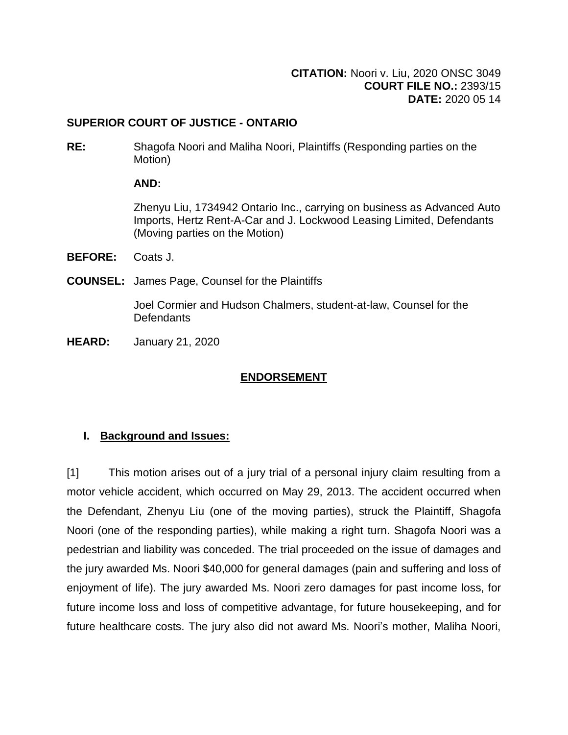## **SUPERIOR COURT OF JUSTICE - ONTARIO**

**RE:** Shagofa Noori and Maliha Noori, Plaintiffs (Responding parties on the Motion)

## **AND:**

Zhenyu Liu, 1734942 Ontario Inc., carrying on business as Advanced Auto Imports, Hertz Rent-A-Car and J. Lockwood Leasing Limited, Defendants (Moving parties on the Motion)

- **BEFORE:** Coats J.
- **COUNSEL:** James Page, Counsel for the Plaintiffs

Joel Cormier and Hudson Chalmers, student-at-law, Counsel for the **Defendants** 

**HEARD:** January 21, 2020

# **ENDORSEMENT**

# **I. Background and Issues:**

[1] This motion arises out of a jury trial of a personal injury claim resulting from a motor vehicle accident, which occurred on May 29, 2013. The accident occurred when the Defendant, Zhenyu Liu (one of the moving parties), struck the Plaintiff, Shagofa Noori (one of the responding parties), while making a right turn. Shagofa Noori was a pedestrian and liability was conceded. The trial proceeded on the issue of damages and the jury awarded Ms. Noori \$40,000 for general damages (pain and suffering and loss of enjoyment of life). The jury awarded Ms. Noori zero damages for past income loss, for future income loss and loss of competitive advantage, for future housekeeping, and for future healthcare costs. The jury also did not award Ms. Noori's mother, Maliha Noori,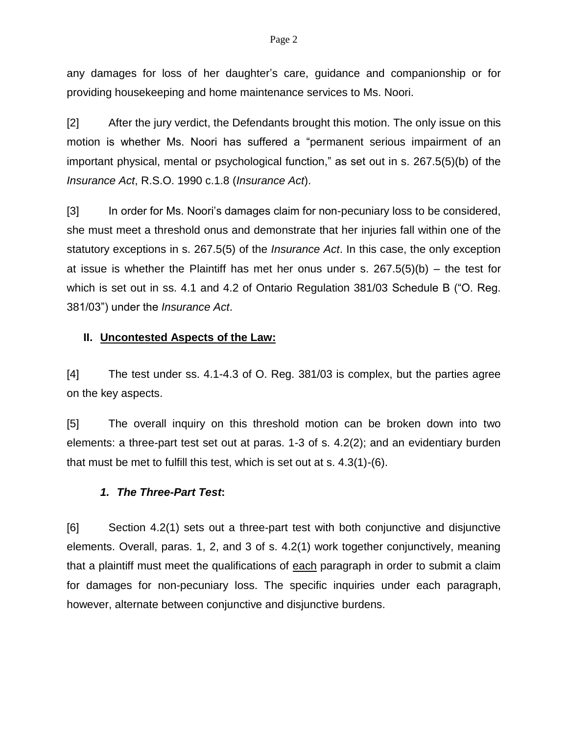#### Page 2

any damages for loss of her daughter's care, guidance and companionship or for providing housekeeping and home maintenance services to Ms. Noori.

[2] After the jury verdict, the Defendants brought this motion. The only issue on this motion is whether Ms. Noori has suffered a "permanent serious impairment of an important physical, mental or psychological function," as set out in s. 267.5(5)(b) of the *Insurance Act*, R.S.O. 1990 c.1.8 (*Insurance Act*).

[3] In order for Ms. Noori's damages claim for non-pecuniary loss to be considered, she must meet a threshold onus and demonstrate that her injuries fall within one of the statutory exceptions in s. 267.5(5) of the *Insurance Act*. In this case, the only exception at issue is whether the Plaintiff has met her onus under s.  $267.5(5)(b) -$  the test for which is set out in ss. 4.1 and 4.2 of Ontario Regulation 381/03 Schedule B ("O. Reg. 381/03") under the *Insurance Act*.

### **II. Uncontested Aspects of the Law:**

[4] The test under ss. 4.1-4.3 of O. Reg. 381/03 is complex, but the parties agree on the key aspects.

[5] The overall inquiry on this threshold motion can be broken down into two elements: a three-part test set out at paras. 1-3 of s. 4.2(2); and an evidentiary burden that must be met to fulfill this test, which is set out at s. 4.3(1)-(6).

#### *1. The Three-Part Test***:**

[6] Section 4.2(1) sets out a three-part test with both conjunctive and disjunctive elements. Overall, paras. 1, 2, and 3 of s. 4.2(1) work together conjunctively, meaning that a plaintiff must meet the qualifications of each paragraph in order to submit a claim for damages for non-pecuniary loss. The specific inquiries under each paragraph, however, alternate between conjunctive and disjunctive burdens.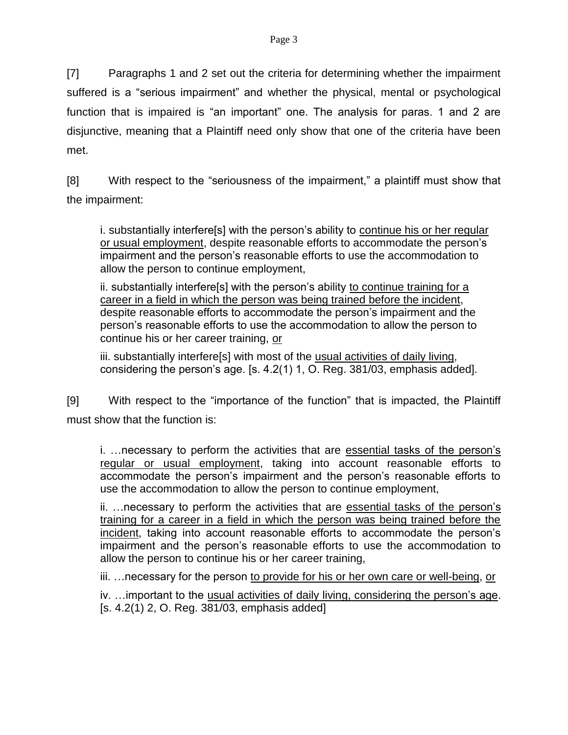[7] Paragraphs 1 and 2 set out the criteria for determining whether the impairment suffered is a "serious impairment" and whether the physical, mental or psychological function that is impaired is "an important" one. The analysis for paras. 1 and 2 are disjunctive, meaning that a Plaintiff need only show that one of the criteria have been met.

[8] With respect to the "seriousness of the impairment," a plaintiff must show that the impairment:

i. substantially interfere[s] with the person's ability to continue his or her regular or usual employment, despite reasonable efforts to accommodate the person's impairment and the person's reasonable efforts to use the accommodation to allow the person to continue employment,

ii. substantially interfere[s] with the person's ability to continue training for a career in a field in which the person was being trained before the incident, despite reasonable efforts to accommodate the person's impairment and the person's reasonable efforts to use the accommodation to allow the person to continue his or her career training, or

iii. substantially interfere[s] with most of the usual activities of daily living, considering the person's age. [s. 4.2(1) 1, O. Reg. 381/03, emphasis added].

[9] With respect to the "importance of the function" that is impacted, the Plaintiff must show that the function is:

i. …necessary to perform the activities that are essential tasks of the person's regular or usual employment, taking into account reasonable efforts to accommodate the person's impairment and the person's reasonable efforts to use the accommodation to allow the person to continue employment,

ii. ... necessary to perform the activities that are essential tasks of the person's training for a career in a field in which the person was being trained before the incident, taking into account reasonable efforts to accommodate the person's impairment and the person's reasonable efforts to use the accommodation to allow the person to continue his or her career training,

iii. …necessary for the person to provide for his or her own care or well-being, or

iv. …important to the usual activities of daily living, considering the person's age. [s. 4.2(1) 2, O. Reg. 381/03, emphasis added]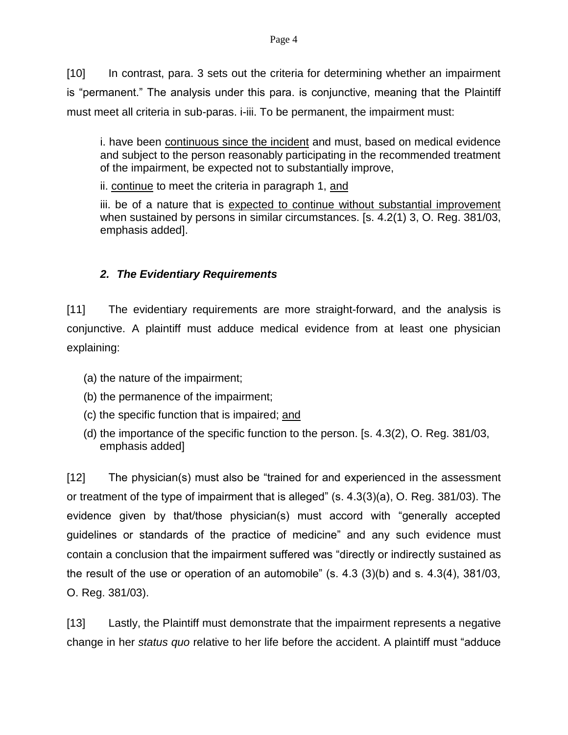[10] In contrast, para. 3 sets out the criteria for determining whether an impairment is "permanent." The analysis under this para. is conjunctive, meaning that the Plaintiff must meet all criteria in sub-paras. i-iii. To be permanent, the impairment must:

i. have been continuous since the incident and must, based on medical evidence and subject to the person reasonably participating in the recommended treatment of the impairment, be expected not to substantially improve,

ii. continue to meet the criteria in paragraph 1, and

iii. be of a nature that is expected to continue without substantial improvement when sustained by persons in similar circumstances. [s. 4.2(1) 3, O. Reg. 381/03, emphasis added].

# *2. The Evidentiary Requirements*

[11] The evidentiary requirements are more straight-forward, and the analysis is conjunctive. A plaintiff must adduce medical evidence from at least one physician explaining:

- (a) the nature of the impairment;
- (b) the permanence of the impairment;
- (c) the specific function that is impaired; and
- (d) the importance of the specific function to the person. [s. 4.3(2), O. Reg. 381/03, emphasis added]

[12] The physician(s) must also be "trained for and experienced in the assessment or treatment of the type of impairment that is alleged" (s. 4.3(3)(a), O. Reg. 381/03). The evidence given by that/those physician(s) must accord with "generally accepted guidelines or standards of the practice of medicine" and any such evidence must contain a conclusion that the impairment suffered was "directly or indirectly sustained as the result of the use or operation of an automobile" (s. 4.3 (3)(b) and s. 4.3(4), 381/03, O. Reg. 381/03).

[13] Lastly, the Plaintiff must demonstrate that the impairment represents a negative change in her *status quo* relative to her life before the accident. A plaintiff must "adduce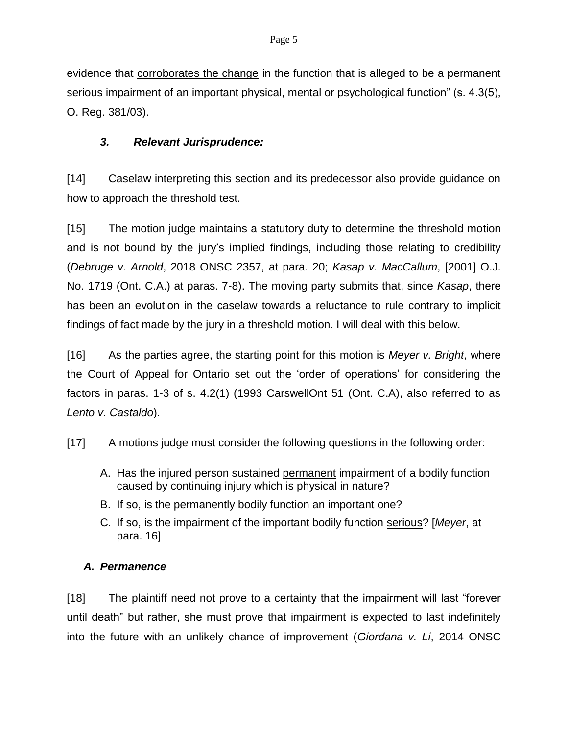evidence that corroborates the change in the function that is alleged to be a permanent serious impairment of an important physical, mental or psychological function" (s. 4.3(5), O. Reg. 381/03).

# *3. Relevant Jurisprudence:*

[14] Caselaw interpreting this section and its predecessor also provide guidance on how to approach the threshold test.

[15] The motion judge maintains a statutory duty to determine the threshold motion and is not bound by the jury's implied findings, including those relating to credibility (*Debruge v. Arnold*, 2018 ONSC 2357, at para. 20; *Kasap v. MacCallum*, [2001] O.J. No. 1719 (Ont. C.A.) at paras. 7-8). The moving party submits that, since *Kasap*, there has been an evolution in the caselaw towards a reluctance to rule contrary to implicit findings of fact made by the jury in a threshold motion. I will deal with this below.

[16] As the parties agree, the starting point for this motion is *Meyer v. Bright*, where the Court of Appeal for Ontario set out the 'order of operations' for considering the factors in paras. 1-3 of s. 4.2(1) (1993 CarswellOnt 51 (Ont. C.A), also referred to as *Lento v. Castaldo*).

- [17] A motions judge must consider the following questions in the following order:
	- A. Has the injured person sustained permanent impairment of a bodily function caused by continuing injury which is physical in nature?
	- B. If so, is the permanently bodily function an important one?
	- C. If so, is the impairment of the important bodily function serious? [*Meyer*, at para. 16]

# *A. Permanence*

[18] The plaintiff need not prove to a certainty that the impairment will last "forever until death" but rather, she must prove that impairment is expected to last indefinitely into the future with an unlikely chance of improvement (*Giordana v. Li*, 2014 ONSC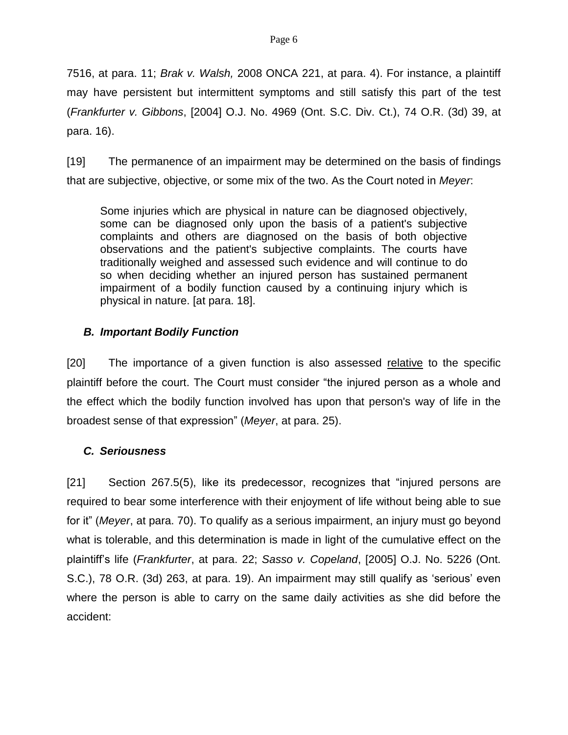7516, at para. 11; *Brak v. Walsh,* 2008 ONCA 221, at para. 4). For instance, a plaintiff may have persistent but intermittent symptoms and still satisfy this part of the test (*Frankfurter v. Gibbons*, [2004] O.J. No. 4969 (Ont. S.C. Div. Ct.), 74 O.R. (3d) 39, at para. 16).

[19] The permanence of an impairment may be determined on the basis of findings that are subjective, objective, or some mix of the two. As the Court noted in *Meyer*:

Some injuries which are physical in nature can be diagnosed objectively, some can be diagnosed only upon the basis of a patient's subjective complaints and others are diagnosed on the basis of both objective observations and the patient's subjective complaints. The courts have traditionally weighed and assessed such evidence and will continue to do so when deciding whether an injured person has sustained permanent impairment of a bodily function caused by a continuing injury which is physical in nature. [at para. 18].

# *B. Important Bodily Function*

[20] The importance of a given function is also assessed relative to the specific plaintiff before the court. The Court must consider "the injured person as a whole and the effect which the bodily function involved has upon that person's way of life in the broadest sense of that expression" (*Meyer*, at para. 25).

## *C. Seriousness*

[21] Section 267.5(5), like its predecessor, recognizes that "injured persons are required to bear some interference with their enjoyment of life without being able to sue for it" (*Meyer*, at para. 70). To qualify as a serious impairment, an injury must go beyond what is tolerable, and this determination is made in light of the cumulative effect on the plaintiff's life (*Frankfurter*, at para. 22; *Sasso v. Copeland*, [2005] O.J. No. 5226 (Ont. S.C.), 78 O.R. (3d) 263, at para. 19). An impairment may still qualify as 'serious' even where the person is able to carry on the same daily activities as she did before the accident: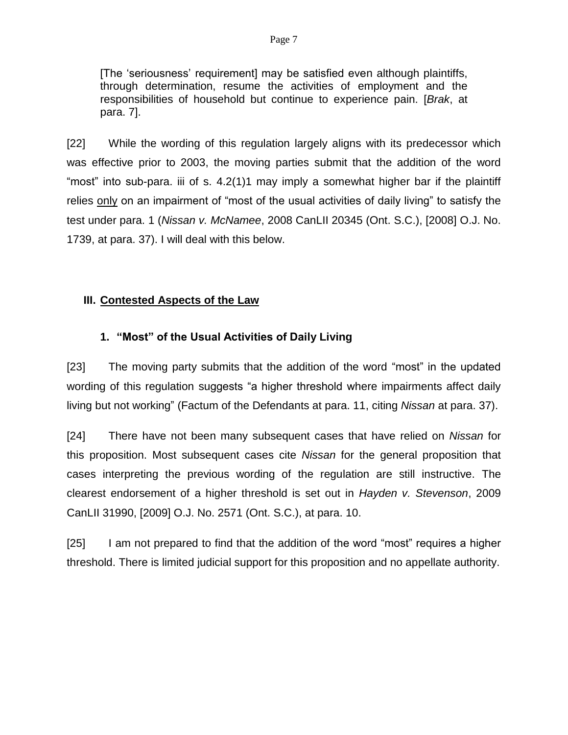[The 'seriousness' requirement] may be satisfied even although plaintiffs, through determination, resume the activities of employment and the responsibilities of household but continue to experience pain. [*Brak*, at para. 7].

[22] While the wording of this regulation largely aligns with its predecessor which was effective prior to 2003, the moving parties submit that the addition of the word "most" into sub-para. iii of s. 4.2(1)1 may imply a somewhat higher bar if the plaintiff relies only on an impairment of "most of the usual activities of daily living" to satisfy the test under para. 1 (*Nissan v. McNamee*, 2008 CanLII 20345 (Ont. S.C.), [2008] O.J. No. 1739, at para. 37). I will deal with this below.

## **III. Contested Aspects of the Law**

## **1. "Most" of the Usual Activities of Daily Living**

[23] The moving party submits that the addition of the word "most" in the updated wording of this regulation suggests "a higher threshold where impairments affect daily living but not working" (Factum of the Defendants at para. 11, citing *Nissan* at para. 37).

[24] There have not been many subsequent cases that have relied on *Nissan* for this proposition. Most subsequent cases cite *Nissan* for the general proposition that cases interpreting the previous wording of the regulation are still instructive. The clearest endorsement of a higher threshold is set out in *Hayden v. Stevenson*, 2009 CanLII 31990, [2009] O.J. No. 2571 (Ont. S.C.), at para. 10.

[25] I am not prepared to find that the addition of the word "most" requires a higher threshold. There is limited judicial support for this proposition and no appellate authority.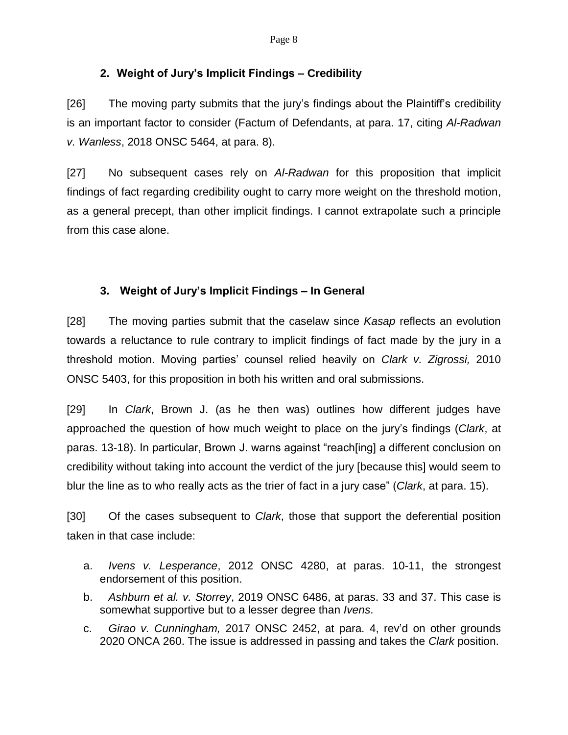## **2. Weight of Jury's Implicit Findings – Credibility**

[26] The moving party submits that the jury's findings about the Plaintiff's credibility is an important factor to consider (Factum of Defendants, at para. 17, citing *Al-Radwan v. Wanless*, 2018 ONSC 5464, at para. 8).

[27] No subsequent cases rely on *Al-Radwan* for this proposition that implicit findings of fact regarding credibility ought to carry more weight on the threshold motion, as a general precept, than other implicit findings. I cannot extrapolate such a principle from this case alone.

# **3. Weight of Jury's Implicit Findings – In General**

[28] The moving parties submit that the caselaw since *Kasap* reflects an evolution towards a reluctance to rule contrary to implicit findings of fact made by the jury in a threshold motion. Moving parties' counsel relied heavily on *Clark v. Zigrossi,* 2010 ONSC 5403, for this proposition in both his written and oral submissions.

[29] In *Clark*, Brown J. (as he then was) outlines how different judges have approached the question of how much weight to place on the jury's findings (*Clark*, at paras. 13-18). In particular, Brown J. warns against "reach[ing] a different conclusion on credibility without taking into account the verdict of the jury [because this] would seem to blur the line as to who really acts as the trier of fact in a jury case" (*Clark*, at para. 15).

[30] Of the cases subsequent to *Clark*, those that support the deferential position taken in that case include:

- a. *Ivens v. Lesperance*, 2012 ONSC 4280, at paras. 10-11, the strongest endorsement of this position.
- b. *Ashburn et al. v. Storrey*, 2019 ONSC 6486, at paras. 33 and 37. This case is somewhat supportive but to a lesser degree than *Ivens*.
- c. *Girao v. Cunningham,* 2017 ONSC 2452, at para. 4, rev'd on other grounds 2020 ONCA 260. The issue is addressed in passing and takes the *Clark* position.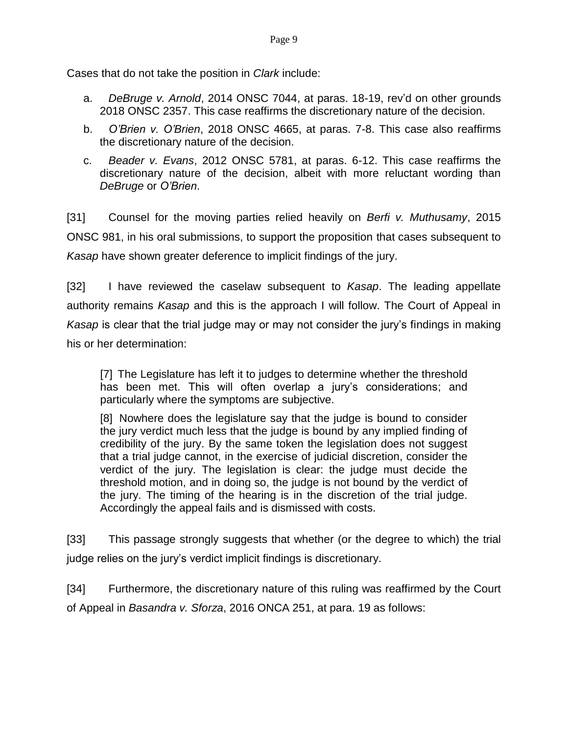Cases that do not take the position in *Clark* include:

- a. *DeBruge v. Arnold*, 2014 ONSC 7044, at paras. 18-19, rev'd on other grounds 2018 ONSC 2357. This case reaffirms the discretionary nature of the decision.
- b. *O'Brien v. O'Brien*, 2018 ONSC 4665, at paras. 7-8. This case also reaffirms the discretionary nature of the decision.
- c. *Beader v. Evans*, 2012 ONSC 5781, at paras. 6-12. This case reaffirms the discretionary nature of the decision, albeit with more reluctant wording than *DeBruge* or *O'Brien*.

[31] Counsel for the moving parties relied heavily on *Berfi v. Muthusamy*, 2015 ONSC 981, in his oral submissions, to support the proposition that cases subsequent to *Kasap* have shown greater deference to implicit findings of the jury.

[32] I have reviewed the caselaw subsequent to *Kasap*. The leading appellate authority remains *Kasap* and this is the approach I will follow. The Court of Appeal in *Kasap* is clear that the trial judge may or may not consider the jury's findings in making his or her determination:

[7] The Legislature has left it to judges to determine whether the threshold has been met. This will often overlap a jury's considerations; and particularly where the symptoms are subjective.

[8] Nowhere does the legislature say that the judge is bound to consider the jury verdict much less that the judge is bound by any implied finding of credibility of the jury. By the same token the legislation does not suggest that a trial judge cannot, in the exercise of judicial discretion, consider the verdict of the jury. The legislation is clear: the judge must decide the threshold motion, and in doing so, the judge is not bound by the verdict of the jury. The timing of the hearing is in the discretion of the trial judge. Accordingly the appeal fails and is dismissed with costs.

[33] This passage strongly suggests that whether (or the degree to which) the trial judge relies on the jury's verdict implicit findings is discretionary.

[34] Furthermore, the discretionary nature of this ruling was reaffirmed by the Court of Appeal in *Basandra v. Sforza*, 2016 ONCA 251, at para. 19 as follows: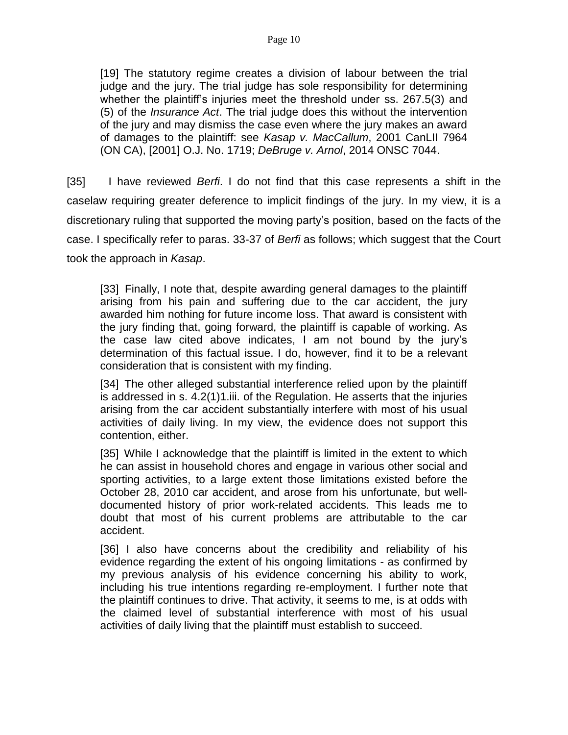[19] The statutory regime creates a division of labour between the trial judge and the jury. The trial judge has sole responsibility for determining whether the plaintiff's injuries meet the threshold under [ss. 267.5\(3\)](https://www.canlii.org/en/on/laws/stat/rso-1990-c-i8/latest/rso-1990-c-i8.html#sec267.5subsec3_smooth) and [\(5\)](https://www.canlii.org/en/on/laws/stat/rso-1990-c-i8/latest/rso-1990-c-i8.html#sec267.5subsec5_smooth) of the *[Insurance Act](https://www.canlii.org/en/on/laws/stat/rso-1990-c-i8/latest/rso-1990-c-i8.html)*. The trial judge does this without the intervention of the jury and may dismiss the case even where the jury makes an award of damages to the plaintiff: see *Kasap v. MacCallum*, [2001 CanLII 7964](https://www.canlii.org/en/on/onca/doc/2001/2001canlii7964/2001canlii7964.html)  [\(ON CA\),](https://www.canlii.org/en/on/onca/doc/2001/2001canlii7964/2001canlii7964.html) [2001] O.J. No. 1719; *DeBruge v. Arnol*, [2014 ONSC 7044.](https://www.canlii.org/en/on/onsc/doc/2014/2014onsc7044/2014onsc7044.html)

[35] I have reviewed *Berfi*. I do not find that this case represents a shift in the caselaw requiring greater deference to implicit findings of the jury. In my view, it is a discretionary ruling that supported the moving party's position, based on the facts of the case. I specifically refer to paras. 33-37 of *Berfi* as follows; which suggest that the Court took the approach in *Kasap*.

[33] Finally, I note that, despite awarding general damages to the plaintiff arising from his pain and suffering due to the car accident, the jury awarded him nothing for future income loss. That award is consistent with the jury finding that, going forward, the plaintiff is capable of working. As the case law cited above indicates, I am not bound by the jury's determination of this factual issue. I do, however, find it to be a relevant consideration that is consistent with my finding.

[34] The other alleged substantial interference relied upon by the plaintiff is addressed in s. 4.2(1)1.iii. of the [Regulation.](https://www.canlii.org/en/on/laws/regu/o-reg-461-96/latest/o-reg-461-96.html) He asserts that the injuries arising from the car accident substantially interfere with most of his usual activities of daily living. In my view, the evidence does not support this contention, either.

[35] While I acknowledge that the plaintiff is limited in the extent to which he can assist in household chores and engage in various other social and sporting activities, to a large extent those limitations existed before the October 28, 2010 car accident, and arose from his unfortunate, but welldocumented history of prior work-related accidents. This leads me to doubt that most of his current problems are attributable to the car accident.

[36] I also have concerns about the credibility and reliability of his evidence regarding the extent of his ongoing limitations - as confirmed by my previous analysis of his evidence concerning his ability to work, including his true intentions regarding re-employment. I further note that the plaintiff continues to drive. That activity, it seems to me, is at odds with the claimed level of substantial interference with most of his usual activities of daily living that the plaintiff must establish to succeed.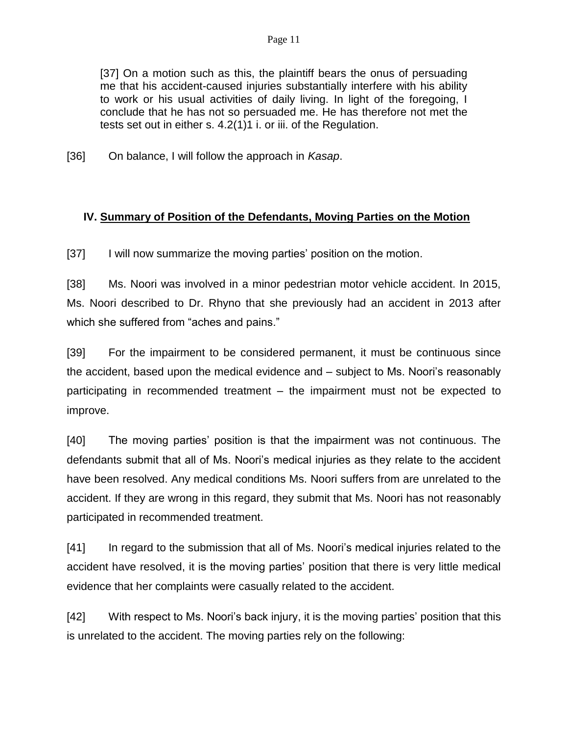[37] On a motion such as this, the plaintiff bears the onus of persuading me that his accident-caused injuries substantially interfere with his ability to work or his usual activities of daily living. In light of the foregoing, I conclude that he has not so persuaded me. He has therefore not met the tests set out in either s. 4.2(1)1 i. or iii. of the [Regulation.](https://www.canlii.org/en/on/laws/regu/o-reg-461-96/latest/o-reg-461-96.html)

[36] On balance, I will follow the approach in *Kasap*.

## **IV. Summary of Position of the Defendants, Moving Parties on the Motion**

[37] I will now summarize the moving parties' position on the motion.

[38] Ms. Noori was involved in a minor pedestrian motor vehicle accident. In 2015, Ms. Noori described to Dr. Rhyno that she previously had an accident in 2013 after which she suffered from "aches and pains."

[39] For the impairment to be considered permanent, it must be continuous since the accident, based upon the medical evidence and – subject to Ms. Noori's reasonably participating in recommended treatment – the impairment must not be expected to improve.

[40] The moving parties' position is that the impairment was not continuous. The defendants submit that all of Ms. Noori's medical injuries as they relate to the accident have been resolved. Any medical conditions Ms. Noori suffers from are unrelated to the accident. If they are wrong in this regard, they submit that Ms. Noori has not reasonably participated in recommended treatment.

[41] In regard to the submission that all of Ms. Noori's medical injuries related to the accident have resolved, it is the moving parties' position that there is very little medical evidence that her complaints were casually related to the accident.

[42] With respect to Ms. Noori's back injury, it is the moving parties' position that this is unrelated to the accident. The moving parties rely on the following: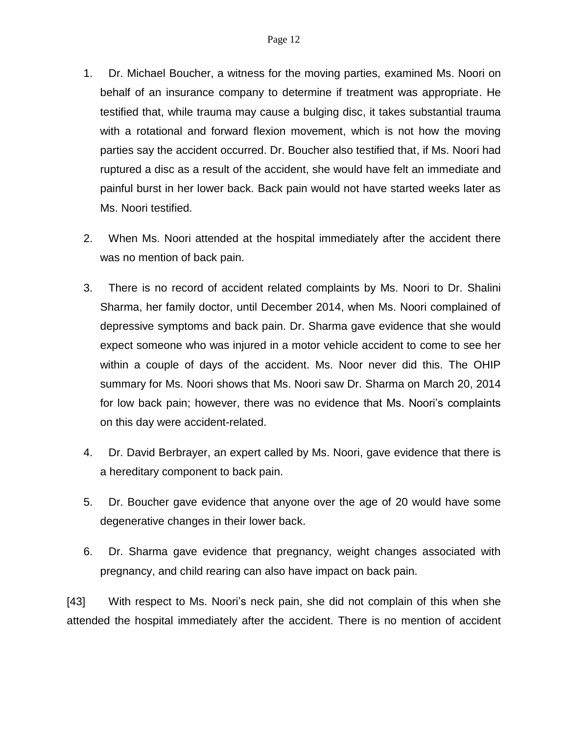- 1. Dr. Michael Boucher, a witness for the moving parties, examined Ms. Noori on behalf of an insurance company to determine if treatment was appropriate. He testified that, while trauma may cause a bulging disc, it takes substantial trauma with a rotational and forward flexion movement, which is not how the moving parties say the accident occurred. Dr. Boucher also testified that, if Ms. Noori had ruptured a disc as a result of the accident, she would have felt an immediate and painful burst in her lower back. Back pain would not have started weeks later as Ms. Noori testified.
- 2. When Ms. Noori attended at the hospital immediately after the accident there was no mention of back pain.
- 3. There is no record of accident related complaints by Ms. Noori to Dr. Shalini Sharma, her family doctor, until December 2014, when Ms. Noori complained of depressive symptoms and back pain. Dr. Sharma gave evidence that she would expect someone who was injured in a motor vehicle accident to come to see her within a couple of days of the accident. Ms. Noor never did this. The OHIP summary for Ms. Noori shows that Ms. Noori saw Dr. Sharma on March 20, 2014 for low back pain; however, there was no evidence that Ms. Noori's complaints on this day were accident-related.
- 4. Dr. David Berbrayer, an expert called by Ms. Noori, gave evidence that there is a hereditary component to back pain.
- 5. Dr. Boucher gave evidence that anyone over the age of 20 would have some degenerative changes in their lower back.
- 6. Dr. Sharma gave evidence that pregnancy, weight changes associated with pregnancy, and child rearing can also have impact on back pain.

[43] With respect to Ms. Noori's neck pain, she did not complain of this when she attended the hospital immediately after the accident. There is no mention of accident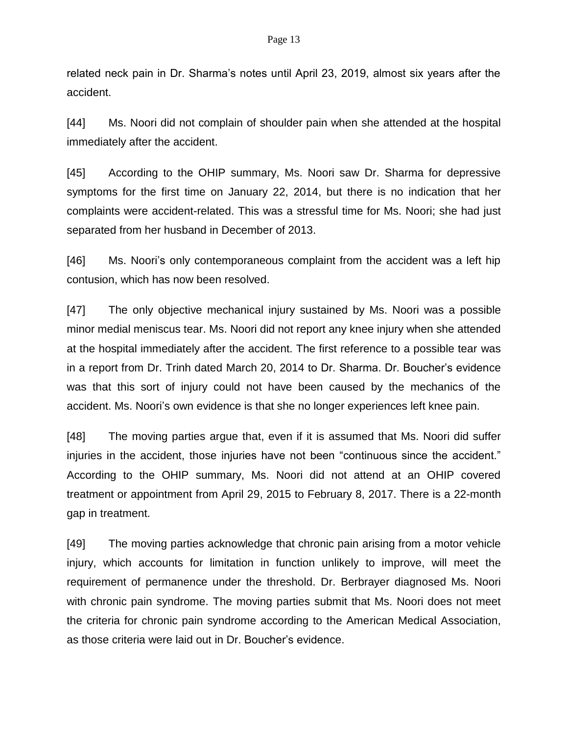#### Page 13

related neck pain in Dr. Sharma's notes until April 23, 2019, almost six years after the accident.

[44] Ms. Noori did not complain of shoulder pain when she attended at the hospital immediately after the accident.

[45] According to the OHIP summary, Ms. Noori saw Dr. Sharma for depressive symptoms for the first time on January 22, 2014, but there is no indication that her complaints were accident-related. This was a stressful time for Ms. Noori; she had just separated from her husband in December of 2013.

[46] Ms. Noori's only contemporaneous complaint from the accident was a left hip contusion, which has now been resolved.

[47] The only objective mechanical injury sustained by Ms. Noori was a possible minor medial meniscus tear. Ms. Noori did not report any knee injury when she attended at the hospital immediately after the accident. The first reference to a possible tear was in a report from Dr. Trinh dated March 20, 2014 to Dr. Sharma. Dr. Boucher's evidence was that this sort of injury could not have been caused by the mechanics of the accident. Ms. Noori's own evidence is that she no longer experiences left knee pain.

[48] The moving parties argue that, even if it is assumed that Ms. Noori did suffer injuries in the accident, those injuries have not been "continuous since the accident." According to the OHIP summary, Ms. Noori did not attend at an OHIP covered treatment or appointment from April 29, 2015 to February 8, 2017. There is a 22-month gap in treatment.

[49] The moving parties acknowledge that chronic pain arising from a motor vehicle injury, which accounts for limitation in function unlikely to improve, will meet the requirement of permanence under the threshold. Dr. Berbrayer diagnosed Ms. Noori with chronic pain syndrome. The moving parties submit that Ms. Noori does not meet the criteria for chronic pain syndrome according to the American Medical Association, as those criteria were laid out in Dr. Boucher's evidence.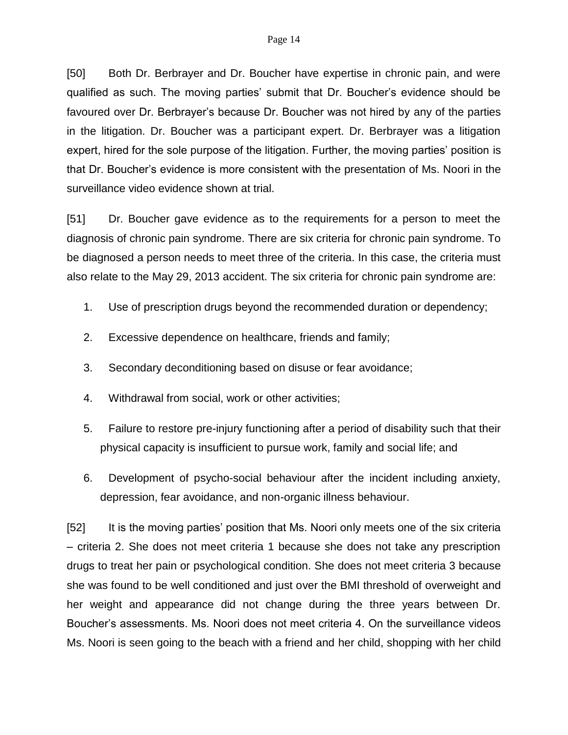[50] Both Dr. Berbrayer and Dr. Boucher have expertise in chronic pain, and were qualified as such. The moving parties' submit that Dr. Boucher's evidence should be favoured over Dr. Berbrayer's because Dr. Boucher was not hired by any of the parties in the litigation. Dr. Boucher was a participant expert. Dr. Berbrayer was a litigation expert, hired for the sole purpose of the litigation. Further, the moving parties' position is that Dr. Boucher's evidence is more consistent with the presentation of Ms. Noori in the surveillance video evidence shown at trial.

[51] Dr. Boucher gave evidence as to the requirements for a person to meet the diagnosis of chronic pain syndrome. There are six criteria for chronic pain syndrome. To be diagnosed a person needs to meet three of the criteria. In this case, the criteria must also relate to the May 29, 2013 accident. The six criteria for chronic pain syndrome are:

- 1. Use of prescription drugs beyond the recommended duration or dependency;
- 2. Excessive dependence on healthcare, friends and family;
- 3. Secondary deconditioning based on disuse or fear avoidance;
- 4. Withdrawal from social, work or other activities;
- 5. Failure to restore pre-injury functioning after a period of disability such that their physical capacity is insufficient to pursue work, family and social life; and
- 6. Development of psycho-social behaviour after the incident including anxiety, depression, fear avoidance, and non-organic illness behaviour.

[52] It is the moving parties' position that Ms. Noori only meets one of the six criteria – criteria 2. She does not meet criteria 1 because she does not take any prescription drugs to treat her pain or psychological condition. She does not meet criteria 3 because she was found to be well conditioned and just over the BMI threshold of overweight and her weight and appearance did not change during the three years between Dr. Boucher's assessments. Ms. Noori does not meet criteria 4. On the surveillance videos Ms. Noori is seen going to the beach with a friend and her child, shopping with her child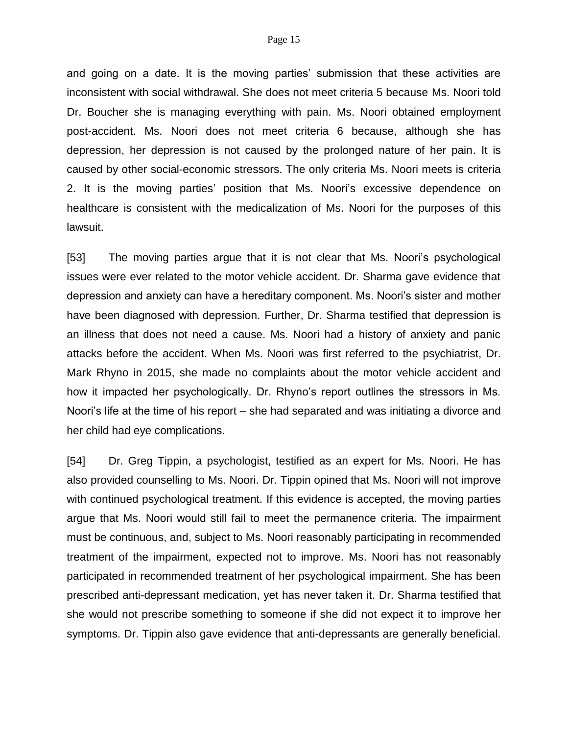and going on a date. It is the moving parties' submission that these activities are inconsistent with social withdrawal. She does not meet criteria 5 because Ms. Noori told Dr. Boucher she is managing everything with pain. Ms. Noori obtained employment post-accident. Ms. Noori does not meet criteria 6 because, although she has depression, her depression is not caused by the prolonged nature of her pain. It is caused by other social-economic stressors. The only criteria Ms. Noori meets is criteria 2. It is the moving parties' position that Ms. Noori's excessive dependence on healthcare is consistent with the medicalization of Ms. Noori for the purposes of this lawsuit.

[53] The moving parties argue that it is not clear that Ms. Noori's psychological issues were ever related to the motor vehicle accident. Dr. Sharma gave evidence that depression and anxiety can have a hereditary component. Ms. Noori's sister and mother have been diagnosed with depression. Further, Dr. Sharma testified that depression is an illness that does not need a cause. Ms. Noori had a history of anxiety and panic attacks before the accident. When Ms. Noori was first referred to the psychiatrist, Dr. Mark Rhyno in 2015, she made no complaints about the motor vehicle accident and how it impacted her psychologically. Dr. Rhyno's report outlines the stressors in Ms. Noori's life at the time of his report – she had separated and was initiating a divorce and her child had eye complications.

[54] Dr. Greg Tippin, a psychologist, testified as an expert for Ms. Noori. He has also provided counselling to Ms. Noori. Dr. Tippin opined that Ms. Noori will not improve with continued psychological treatment. If this evidence is accepted, the moving parties argue that Ms. Noori would still fail to meet the permanence criteria. The impairment must be continuous, and, subject to Ms. Noori reasonably participating in recommended treatment of the impairment, expected not to improve. Ms. Noori has not reasonably participated in recommended treatment of her psychological impairment. She has been prescribed anti-depressant medication, yet has never taken it. Dr. Sharma testified that she would not prescribe something to someone if she did not expect it to improve her symptoms. Dr. Tippin also gave evidence that anti-depressants are generally beneficial.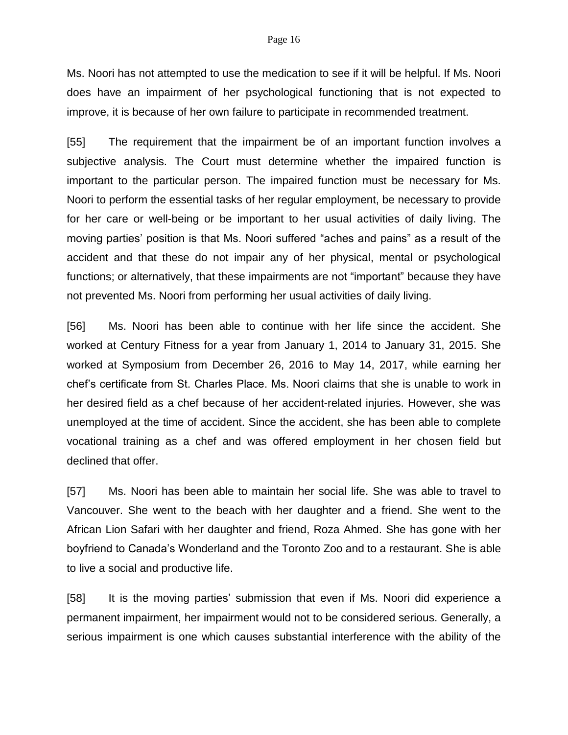Ms. Noori has not attempted to use the medication to see if it will be helpful. If Ms. Noori does have an impairment of her psychological functioning that is not expected to improve, it is because of her own failure to participate in recommended treatment.

[55] The requirement that the impairment be of an important function involves a subjective analysis. The Court must determine whether the impaired function is important to the particular person. The impaired function must be necessary for Ms. Noori to perform the essential tasks of her regular employment, be necessary to provide for her care or well-being or be important to her usual activities of daily living. The moving parties' position is that Ms. Noori suffered "aches and pains" as a result of the accident and that these do not impair any of her physical, mental or psychological functions; or alternatively, that these impairments are not "important" because they have not prevented Ms. Noori from performing her usual activities of daily living.

[56] Ms. Noori has been able to continue with her life since the accident. She worked at Century Fitness for a year from January 1, 2014 to January 31, 2015. She worked at Symposium from December 26, 2016 to May 14, 2017, while earning her chef's certificate from St. Charles Place. Ms. Noori claims that she is unable to work in her desired field as a chef because of her accident-related injuries. However, she was unemployed at the time of accident. Since the accident, she has been able to complete vocational training as a chef and was offered employment in her chosen field but declined that offer.

[57] Ms. Noori has been able to maintain her social life. She was able to travel to Vancouver. She went to the beach with her daughter and a friend. She went to the African Lion Safari with her daughter and friend, Roza Ahmed. She has gone with her boyfriend to Canada's Wonderland and the Toronto Zoo and to a restaurant. She is able to live a social and productive life.

[58] It is the moving parties' submission that even if Ms. Noori did experience a permanent impairment, her impairment would not to be considered serious. Generally, a serious impairment is one which causes substantial interference with the ability of the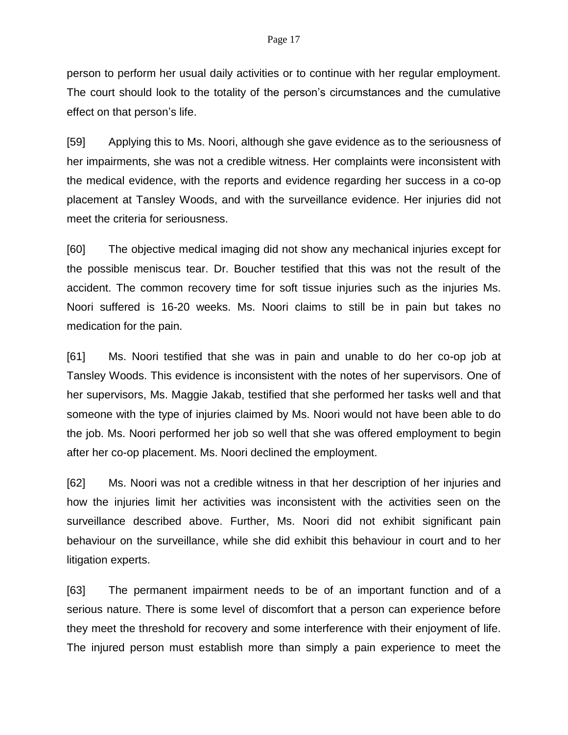person to perform her usual daily activities or to continue with her regular employment. The court should look to the totality of the person's circumstances and the cumulative effect on that person's life.

[59] Applying this to Ms. Noori, although she gave evidence as to the seriousness of her impairments, she was not a credible witness. Her complaints were inconsistent with the medical evidence, with the reports and evidence regarding her success in a co-op placement at Tansley Woods, and with the surveillance evidence. Her injuries did not meet the criteria for seriousness.

[60] The objective medical imaging did not show any mechanical injuries except for the possible meniscus tear. Dr. Boucher testified that this was not the result of the accident. The common recovery time for soft tissue injuries such as the injuries Ms. Noori suffered is 16-20 weeks. Ms. Noori claims to still be in pain but takes no medication for the pain.

[61] Ms. Noori testified that she was in pain and unable to do her co-op job at Tansley Woods. This evidence is inconsistent with the notes of her supervisors. One of her supervisors, Ms. Maggie Jakab, testified that she performed her tasks well and that someone with the type of injuries claimed by Ms. Noori would not have been able to do the job. Ms. Noori performed her job so well that she was offered employment to begin after her co-op placement. Ms. Noori declined the employment.

[62] Ms. Noori was not a credible witness in that her description of her injuries and how the injuries limit her activities was inconsistent with the activities seen on the surveillance described above. Further, Ms. Noori did not exhibit significant pain behaviour on the surveillance, while she did exhibit this behaviour in court and to her litigation experts.

[63] The permanent impairment needs to be of an important function and of a serious nature. There is some level of discomfort that a person can experience before they meet the threshold for recovery and some interference with their enjoyment of life. The injured person must establish more than simply a pain experience to meet the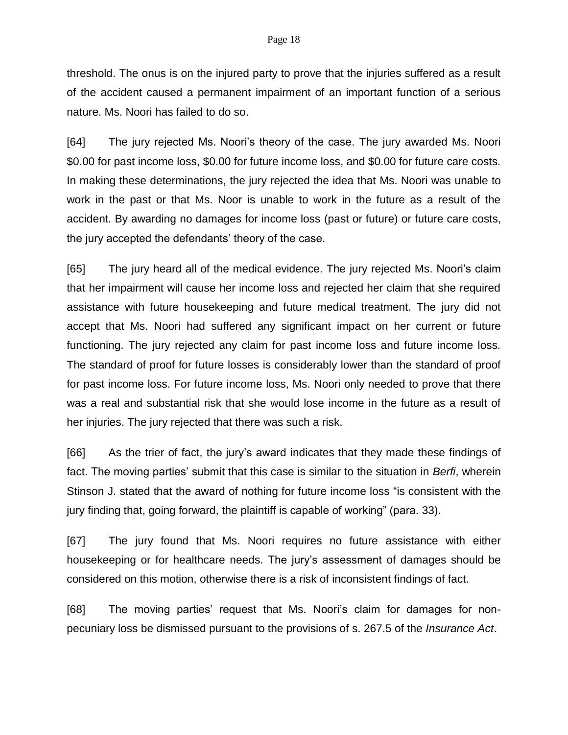threshold. The onus is on the injured party to prove that the injuries suffered as a result of the accident caused a permanent impairment of an important function of a serious nature. Ms. Noori has failed to do so.

[64] The jury rejected Ms. Noori's theory of the case. The jury awarded Ms. Noori \$0.00 for past income loss, \$0.00 for future income loss, and \$0.00 for future care costs. In making these determinations, the jury rejected the idea that Ms. Noori was unable to work in the past or that Ms. Noor is unable to work in the future as a result of the accident. By awarding no damages for income loss (past or future) or future care costs, the jury accepted the defendants' theory of the case.

[65] The jury heard all of the medical evidence. The jury rejected Ms. Noori's claim that her impairment will cause her income loss and rejected her claim that she required assistance with future housekeeping and future medical treatment. The jury did not accept that Ms. Noori had suffered any significant impact on her current or future functioning. The jury rejected any claim for past income loss and future income loss. The standard of proof for future losses is considerably lower than the standard of proof for past income loss. For future income loss, Ms. Noori only needed to prove that there was a real and substantial risk that she would lose income in the future as a result of her injuries. The jury rejected that there was such a risk.

[66] As the trier of fact, the jury's award indicates that they made these findings of fact. The moving parties' submit that this case is similar to the situation in *Berfi*, wherein Stinson J. stated that the award of nothing for future income loss "is consistent with the jury finding that, going forward, the plaintiff is capable of working" (para. 33).

[67] The jury found that Ms. Noori requires no future assistance with either housekeeping or for healthcare needs. The jury's assessment of damages should be considered on this motion, otherwise there is a risk of inconsistent findings of fact.

[68] The moving parties' request that Ms. Noori's claim for damages for nonpecuniary loss be dismissed pursuant to the provisions of s. 267.5 of the *Insurance Act*.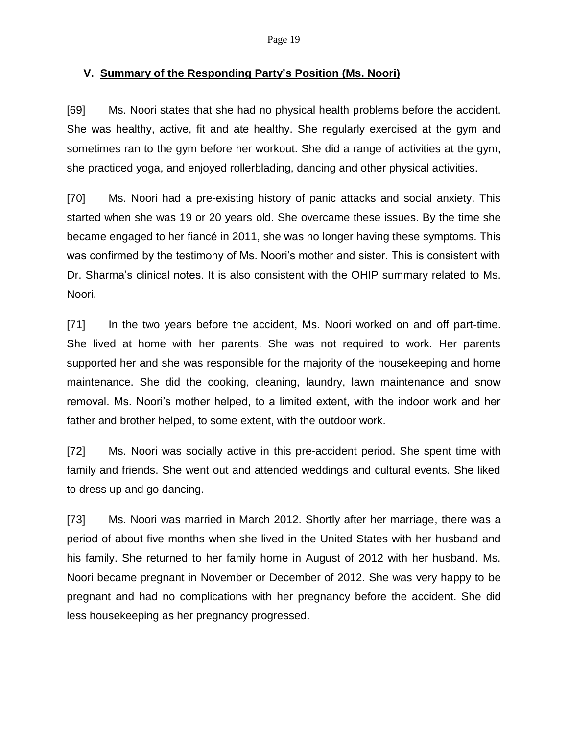### **V. Summary of the Responding Party's Position (Ms. Noori)**

[69] Ms. Noori states that she had no physical health problems before the accident. She was healthy, active, fit and ate healthy. She regularly exercised at the gym and sometimes ran to the gym before her workout. She did a range of activities at the gym, she practiced yoga, and enjoyed rollerblading, dancing and other physical activities.

[70] Ms. Noori had a pre-existing history of panic attacks and social anxiety. This started when she was 19 or 20 years old. She overcame these issues. By the time she became engaged to her fiancé in 2011, she was no longer having these symptoms. This was confirmed by the testimony of Ms. Noori's mother and sister. This is consistent with Dr. Sharma's clinical notes. It is also consistent with the OHIP summary related to Ms. Noori.

[71] In the two years before the accident, Ms. Noori worked on and off part-time. She lived at home with her parents. She was not required to work. Her parents supported her and she was responsible for the majority of the housekeeping and home maintenance. She did the cooking, cleaning, laundry, lawn maintenance and snow removal. Ms. Noori's mother helped, to a limited extent, with the indoor work and her father and brother helped, to some extent, with the outdoor work.

[72] Ms. Noori was socially active in this pre-accident period. She spent time with family and friends. She went out and attended weddings and cultural events. She liked to dress up and go dancing.

[73] Ms. Noori was married in March 2012. Shortly after her marriage, there was a period of about five months when she lived in the United States with her husband and his family. She returned to her family home in August of 2012 with her husband. Ms. Noori became pregnant in November or December of 2012. She was very happy to be pregnant and had no complications with her pregnancy before the accident. She did less housekeeping as her pregnancy progressed.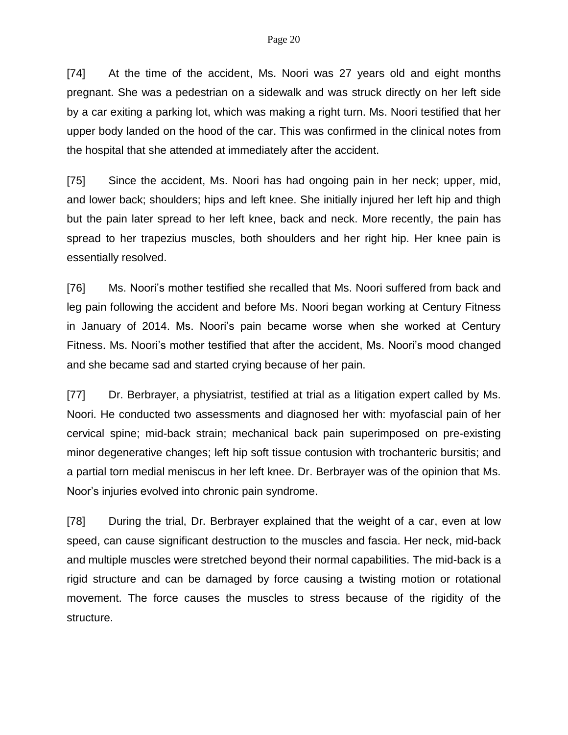[74] At the time of the accident, Ms. Noori was 27 years old and eight months pregnant. She was a pedestrian on a sidewalk and was struck directly on her left side by a car exiting a parking lot, which was making a right turn. Ms. Noori testified that her upper body landed on the hood of the car. This was confirmed in the clinical notes from the hospital that she attended at immediately after the accident.

[75] Since the accident, Ms. Noori has had ongoing pain in her neck; upper, mid, and lower back; shoulders; hips and left knee. She initially injured her left hip and thigh but the pain later spread to her left knee, back and neck. More recently, the pain has spread to her trapezius muscles, both shoulders and her right hip. Her knee pain is essentially resolved.

[76] Ms. Noori's mother testified she recalled that Ms. Noori suffered from back and leg pain following the accident and before Ms. Noori began working at Century Fitness in January of 2014. Ms. Noori's pain became worse when she worked at Century Fitness. Ms. Noori's mother testified that after the accident, Ms. Noori's mood changed and she became sad and started crying because of her pain.

[77] Dr. Berbrayer, a physiatrist, testified at trial as a litigation expert called by Ms. Noori. He conducted two assessments and diagnosed her with: myofascial pain of her cervical spine; mid-back strain; mechanical back pain superimposed on pre-existing minor degenerative changes; left hip soft tissue contusion with trochanteric bursitis; and a partial torn medial meniscus in her left knee. Dr. Berbrayer was of the opinion that Ms. Noor's injuries evolved into chronic pain syndrome.

[78] During the trial, Dr. Berbrayer explained that the weight of a car, even at low speed, can cause significant destruction to the muscles and fascia. Her neck, mid-back and multiple muscles were stretched beyond their normal capabilities. The mid-back is a rigid structure and can be damaged by force causing a twisting motion or rotational movement. The force causes the muscles to stress because of the rigidity of the structure.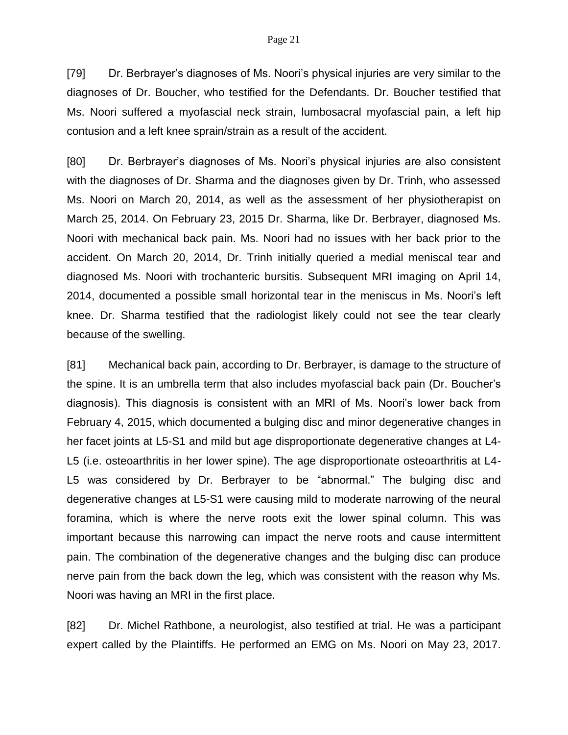[79] Dr. Berbrayer's diagnoses of Ms. Noori's physical injuries are very similar to the diagnoses of Dr. Boucher, who testified for the Defendants. Dr. Boucher testified that Ms. Noori suffered a myofascial neck strain, lumbosacral myofascial pain, a left hip contusion and a left knee sprain/strain as a result of the accident.

[80] Dr. Berbrayer's diagnoses of Ms. Noori's physical injuries are also consistent with the diagnoses of Dr. Sharma and the diagnoses given by Dr. Trinh, who assessed Ms. Noori on March 20, 2014, as well as the assessment of her physiotherapist on March 25, 2014. On February 23, 2015 Dr. Sharma, like Dr. Berbrayer, diagnosed Ms. Noori with mechanical back pain. Ms. Noori had no issues with her back prior to the accident. On March 20, 2014, Dr. Trinh initially queried a medial meniscal tear and diagnosed Ms. Noori with trochanteric bursitis. Subsequent MRI imaging on April 14, 2014, documented a possible small horizontal tear in the meniscus in Ms. Noori's left knee. Dr. Sharma testified that the radiologist likely could not see the tear clearly because of the swelling.

[81] Mechanical back pain, according to Dr. Berbrayer, is damage to the structure of the spine. It is an umbrella term that also includes myofascial back pain (Dr. Boucher's diagnosis). This diagnosis is consistent with an MRI of Ms. Noori's lower back from February 4, 2015, which documented a bulging disc and minor degenerative changes in her facet joints at L5-S1 and mild but age disproportionate degenerative changes at L4- L5 (i.e. osteoarthritis in her lower spine). The age disproportionate osteoarthritis at L4- L5 was considered by Dr. Berbrayer to be "abnormal." The bulging disc and degenerative changes at L5-S1 were causing mild to moderate narrowing of the neural foramina, which is where the nerve roots exit the lower spinal column. This was important because this narrowing can impact the nerve roots and cause intermittent pain. The combination of the degenerative changes and the bulging disc can produce nerve pain from the back down the leg, which was consistent with the reason why Ms. Noori was having an MRI in the first place.

[82] Dr. Michel Rathbone, a neurologist, also testified at trial. He was a participant expert called by the Plaintiffs. He performed an EMG on Ms. Noori on May 23, 2017.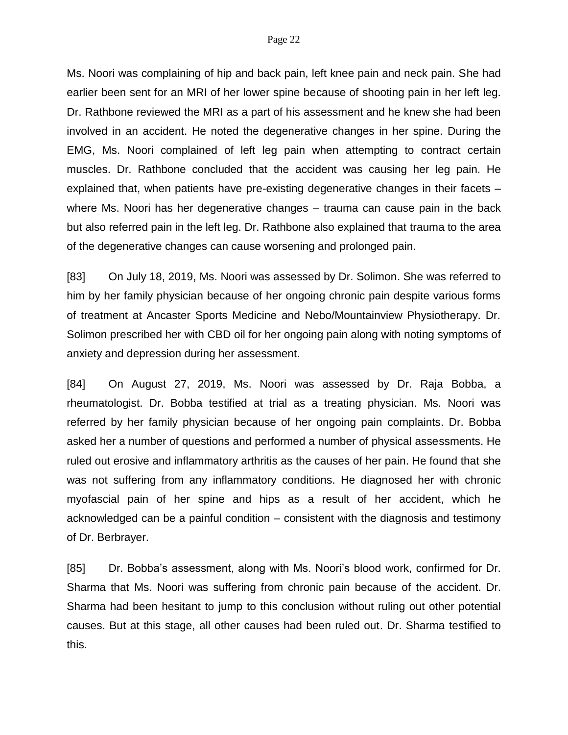Ms. Noori was complaining of hip and back pain, left knee pain and neck pain. She had earlier been sent for an MRI of her lower spine because of shooting pain in her left leg. Dr. Rathbone reviewed the MRI as a part of his assessment and he knew she had been involved in an accident. He noted the degenerative changes in her spine. During the EMG, Ms. Noori complained of left leg pain when attempting to contract certain muscles. Dr. Rathbone concluded that the accident was causing her leg pain. He explained that, when patients have pre-existing degenerative changes in their facets – where Ms. Noori has her degenerative changes – trauma can cause pain in the back but also referred pain in the left leg. Dr. Rathbone also explained that trauma to the area of the degenerative changes can cause worsening and prolonged pain.

[83] On July 18, 2019, Ms. Noori was assessed by Dr. Solimon. She was referred to him by her family physician because of her ongoing chronic pain despite various forms of treatment at Ancaster Sports Medicine and Nebo/Mountainview Physiotherapy. Dr. Solimon prescribed her with CBD oil for her ongoing pain along with noting symptoms of anxiety and depression during her assessment.

[84] On August 27, 2019, Ms. Noori was assessed by Dr. Raja Bobba, a rheumatologist. Dr. Bobba testified at trial as a treating physician. Ms. Noori was referred by her family physician because of her ongoing pain complaints. Dr. Bobba asked her a number of questions and performed a number of physical assessments. He ruled out erosive and inflammatory arthritis as the causes of her pain. He found that she was not suffering from any inflammatory conditions. He diagnosed her with chronic myofascial pain of her spine and hips as a result of her accident, which he acknowledged can be a painful condition – consistent with the diagnosis and testimony of Dr. Berbrayer.

[85] Dr. Bobba's assessment, along with Ms. Noori's blood work, confirmed for Dr. Sharma that Ms. Noori was suffering from chronic pain because of the accident. Dr. Sharma had been hesitant to jump to this conclusion without ruling out other potential causes. But at this stage, all other causes had been ruled out. Dr. Sharma testified to this.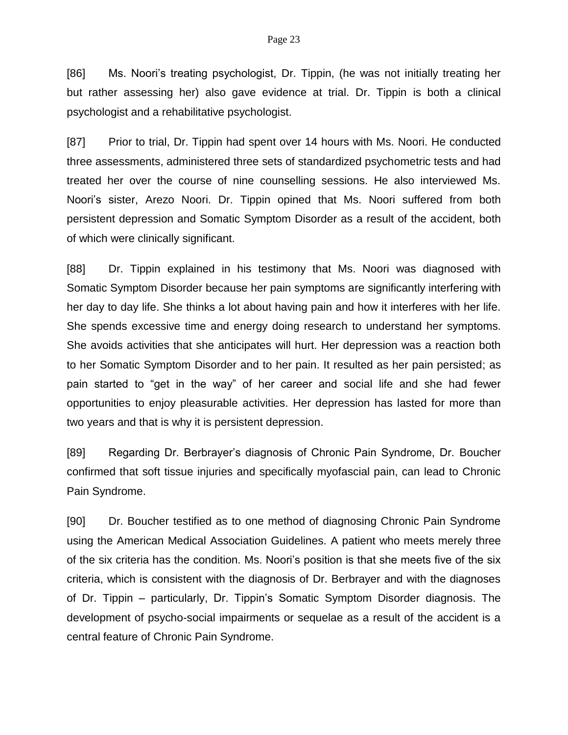[86] Ms. Noori's treating psychologist, Dr. Tippin, (he was not initially treating her but rather assessing her) also gave evidence at trial. Dr. Tippin is both a clinical psychologist and a rehabilitative psychologist.

[87] Prior to trial, Dr. Tippin had spent over 14 hours with Ms. Noori. He conducted three assessments, administered three sets of standardized psychometric tests and had treated her over the course of nine counselling sessions. He also interviewed Ms. Noori's sister, Arezo Noori. Dr. Tippin opined that Ms. Noori suffered from both persistent depression and Somatic Symptom Disorder as a result of the accident, both of which were clinically significant.

[88] Dr. Tippin explained in his testimony that Ms. Noori was diagnosed with Somatic Symptom Disorder because her pain symptoms are significantly interfering with her day to day life. She thinks a lot about having pain and how it interferes with her life. She spends excessive time and energy doing research to understand her symptoms. She avoids activities that she anticipates will hurt. Her depression was a reaction both to her Somatic Symptom Disorder and to her pain. It resulted as her pain persisted; as pain started to "get in the way" of her career and social life and she had fewer opportunities to enjoy pleasurable activities. Her depression has lasted for more than two years and that is why it is persistent depression.

[89] Regarding Dr. Berbrayer's diagnosis of Chronic Pain Syndrome, Dr. Boucher confirmed that soft tissue injuries and specifically myofascial pain, can lead to Chronic Pain Syndrome.

[90] Dr. Boucher testified as to one method of diagnosing Chronic Pain Syndrome using the American Medical Association Guidelines. A patient who meets merely three of the six criteria has the condition. Ms. Noori's position is that she meets five of the six criteria, which is consistent with the diagnosis of Dr. Berbrayer and with the diagnoses of Dr. Tippin – particularly, Dr. Tippin's Somatic Symptom Disorder diagnosis. The development of psycho-social impairments or sequelae as a result of the accident is a central feature of Chronic Pain Syndrome.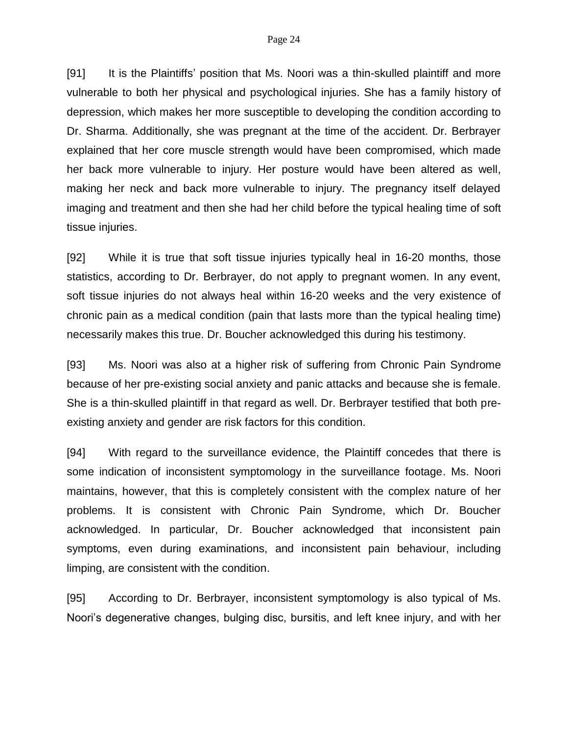[91] It is the Plaintiffs' position that Ms. Noori was a thin-skulled plaintiff and more vulnerable to both her physical and psychological injuries. She has a family history of depression, which makes her more susceptible to developing the condition according to Dr. Sharma. Additionally, she was pregnant at the time of the accident. Dr. Berbrayer explained that her core muscle strength would have been compromised, which made her back more vulnerable to injury. Her posture would have been altered as well, making her neck and back more vulnerable to injury. The pregnancy itself delayed imaging and treatment and then she had her child before the typical healing time of soft tissue injuries.

[92] While it is true that soft tissue injuries typically heal in 16-20 months, those statistics, according to Dr. Berbrayer, do not apply to pregnant women. In any event, soft tissue injuries do not always heal within 16-20 weeks and the very existence of chronic pain as a medical condition (pain that lasts more than the typical healing time) necessarily makes this true. Dr. Boucher acknowledged this during his testimony.

[93] Ms. Noori was also at a higher risk of suffering from Chronic Pain Syndrome because of her pre-existing social anxiety and panic attacks and because she is female. She is a thin-skulled plaintiff in that regard as well. Dr. Berbrayer testified that both preexisting anxiety and gender are risk factors for this condition.

[94] With regard to the surveillance evidence, the Plaintiff concedes that there is some indication of inconsistent symptomology in the surveillance footage. Ms. Noori maintains, however, that this is completely consistent with the complex nature of her problems. It is consistent with Chronic Pain Syndrome, which Dr. Boucher acknowledged. In particular, Dr. Boucher acknowledged that inconsistent pain symptoms, even during examinations, and inconsistent pain behaviour, including limping, are consistent with the condition.

[95] According to Dr. Berbrayer, inconsistent symptomology is also typical of Ms. Noori's degenerative changes, bulging disc, bursitis, and left knee injury, and with her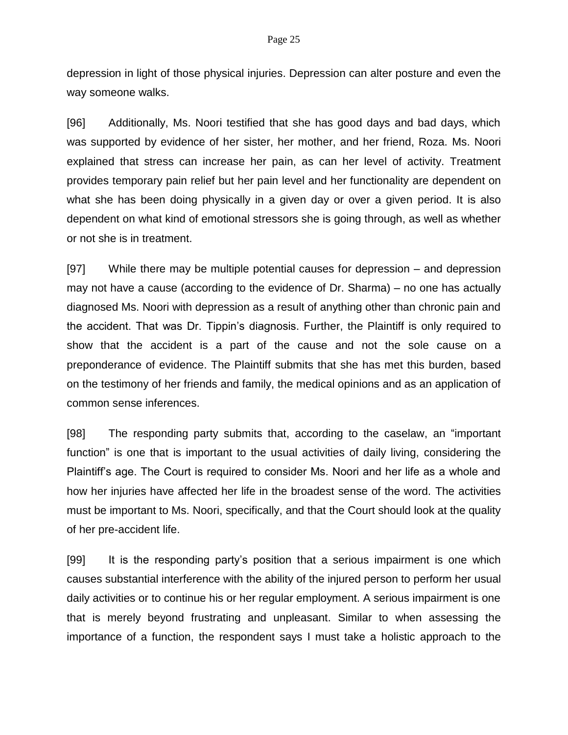depression in light of those physical injuries. Depression can alter posture and even the way someone walks.

[96] Additionally, Ms. Noori testified that she has good days and bad days, which was supported by evidence of her sister, her mother, and her friend, Roza. Ms. Noori explained that stress can increase her pain, as can her level of activity. Treatment provides temporary pain relief but her pain level and her functionality are dependent on what she has been doing physically in a given day or over a given period. It is also dependent on what kind of emotional stressors she is going through, as well as whether or not she is in treatment.

[97] While there may be multiple potential causes for depression – and depression may not have a cause (according to the evidence of Dr. Sharma) – no one has actually diagnosed Ms. Noori with depression as a result of anything other than chronic pain and the accident. That was Dr. Tippin's diagnosis. Further, the Plaintiff is only required to show that the accident is a part of the cause and not the sole cause on a preponderance of evidence. The Plaintiff submits that she has met this burden, based on the testimony of her friends and family, the medical opinions and as an application of common sense inferences.

[98] The responding party submits that, according to the caselaw, an "important function" is one that is important to the usual activities of daily living, considering the Plaintiff's age. The Court is required to consider Ms. Noori and her life as a whole and how her injuries have affected her life in the broadest sense of the word. The activities must be important to Ms. Noori, specifically, and that the Court should look at the quality of her pre-accident life.

[99] It is the responding party's position that a serious impairment is one which causes substantial interference with the ability of the injured person to perform her usual daily activities or to continue his or her regular employment. A serious impairment is one that is merely beyond frustrating and unpleasant. Similar to when assessing the importance of a function, the respondent says I must take a holistic approach to the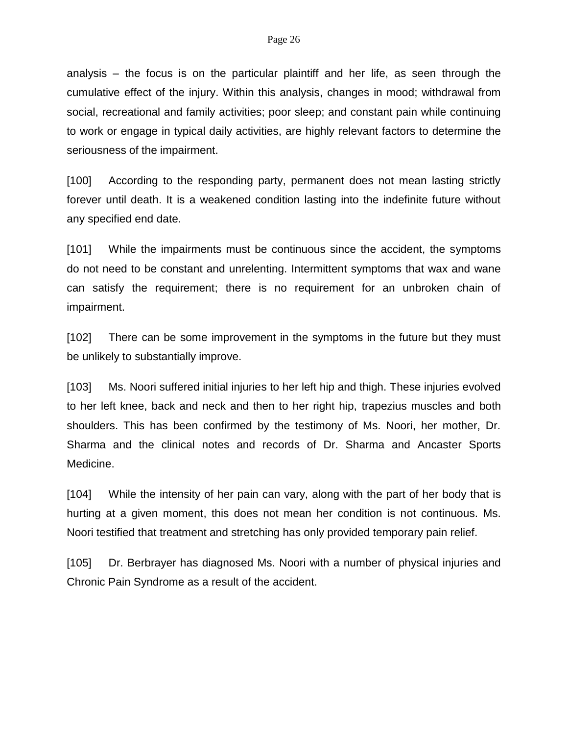analysis – the focus is on the particular plaintiff and her life, as seen through the cumulative effect of the injury. Within this analysis, changes in mood; withdrawal from social, recreational and family activities; poor sleep; and constant pain while continuing to work or engage in typical daily activities, are highly relevant factors to determine the seriousness of the impairment.

[100] According to the responding party, permanent does not mean lasting strictly forever until death. It is a weakened condition lasting into the indefinite future without any specified end date.

[101] While the impairments must be continuous since the accident, the symptoms do not need to be constant and unrelenting. Intermittent symptoms that wax and wane can satisfy the requirement; there is no requirement for an unbroken chain of impairment.

[102] There can be some improvement in the symptoms in the future but they must be unlikely to substantially improve.

[103] Ms. Noori suffered initial injuries to her left hip and thigh. These injuries evolved to her left knee, back and neck and then to her right hip, trapezius muscles and both shoulders. This has been confirmed by the testimony of Ms. Noori, her mother, Dr. Sharma and the clinical notes and records of Dr. Sharma and Ancaster Sports Medicine.

[104] While the intensity of her pain can vary, along with the part of her body that is hurting at a given moment, this does not mean her condition is not continuous. Ms. Noori testified that treatment and stretching has only provided temporary pain relief.

[105] Dr. Berbrayer has diagnosed Ms. Noori with a number of physical injuries and Chronic Pain Syndrome as a result of the accident.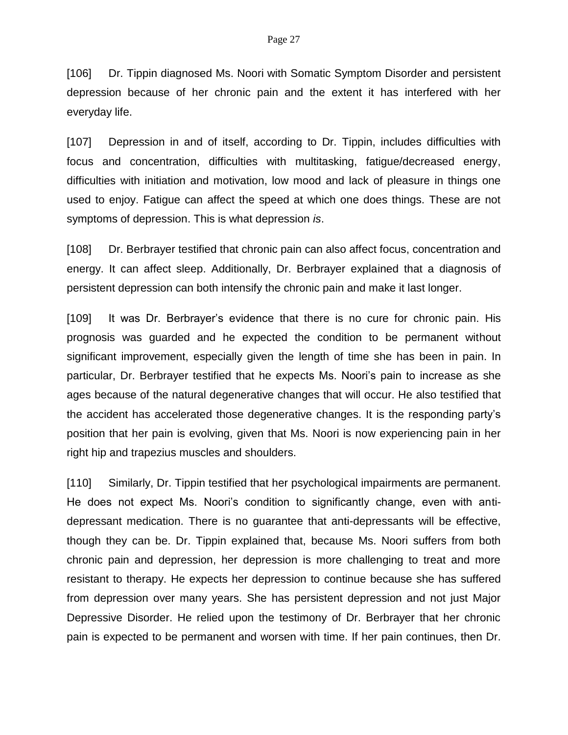[106] Dr. Tippin diagnosed Ms. Noori with Somatic Symptom Disorder and persistent depression because of her chronic pain and the extent it has interfered with her everyday life.

[107] Depression in and of itself, according to Dr. Tippin, includes difficulties with focus and concentration, difficulties with multitasking, fatigue/decreased energy, difficulties with initiation and motivation, low mood and lack of pleasure in things one used to enjoy. Fatigue can affect the speed at which one does things. These are not symptoms of depression. This is what depression *is*.

[108] Dr. Berbrayer testified that chronic pain can also affect focus, concentration and energy. It can affect sleep. Additionally, Dr. Berbrayer explained that a diagnosis of persistent depression can both intensify the chronic pain and make it last longer.

[109] It was Dr. Berbrayer's evidence that there is no cure for chronic pain. His prognosis was guarded and he expected the condition to be permanent without significant improvement, especially given the length of time she has been in pain. In particular, Dr. Berbrayer testified that he expects Ms. Noori's pain to increase as she ages because of the natural degenerative changes that will occur. He also testified that the accident has accelerated those degenerative changes. It is the responding party's position that her pain is evolving, given that Ms. Noori is now experiencing pain in her right hip and trapezius muscles and shoulders.

[110] Similarly, Dr. Tippin testified that her psychological impairments are permanent. He does not expect Ms. Noori's condition to significantly change, even with antidepressant medication. There is no guarantee that anti-depressants will be effective, though they can be. Dr. Tippin explained that, because Ms. Noori suffers from both chronic pain and depression, her depression is more challenging to treat and more resistant to therapy. He expects her depression to continue because she has suffered from depression over many years. She has persistent depression and not just Major Depressive Disorder. He relied upon the testimony of Dr. Berbrayer that her chronic pain is expected to be permanent and worsen with time. If her pain continues, then Dr.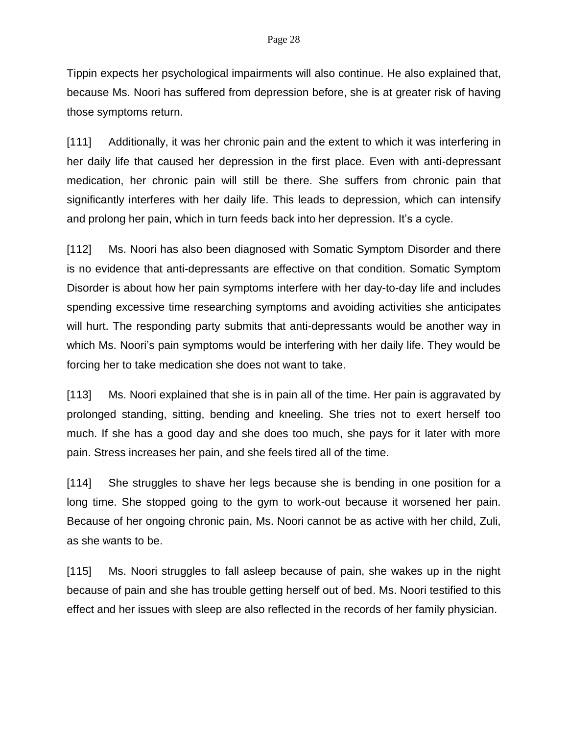Tippin expects her psychological impairments will also continue. He also explained that, because Ms. Noori has suffered from depression before, she is at greater risk of having those symptoms return.

[111] Additionally, it was her chronic pain and the extent to which it was interfering in her daily life that caused her depression in the first place. Even with anti-depressant medication, her chronic pain will still be there. She suffers from chronic pain that significantly interferes with her daily life. This leads to depression, which can intensify and prolong her pain, which in turn feeds back into her depression. It's a cycle.

[112] Ms. Noori has also been diagnosed with Somatic Symptom Disorder and there is no evidence that anti-depressants are effective on that condition. Somatic Symptom Disorder is about how her pain symptoms interfere with her day-to-day life and includes spending excessive time researching symptoms and avoiding activities she anticipates will hurt. The responding party submits that anti-depressants would be another way in which Ms. Noori's pain symptoms would be interfering with her daily life. They would be forcing her to take medication she does not want to take.

[113] Ms. Noori explained that she is in pain all of the time. Her pain is aggravated by prolonged standing, sitting, bending and kneeling. She tries not to exert herself too much. If she has a good day and she does too much, she pays for it later with more pain. Stress increases her pain, and she feels tired all of the time.

[114] She struggles to shave her legs because she is bending in one position for a long time. She stopped going to the gym to work-out because it worsened her pain. Because of her ongoing chronic pain, Ms. Noori cannot be as active with her child, Zuli, as she wants to be.

[115] Ms. Noori struggles to fall asleep because of pain, she wakes up in the night because of pain and she has trouble getting herself out of bed. Ms. Noori testified to this effect and her issues with sleep are also reflected in the records of her family physician.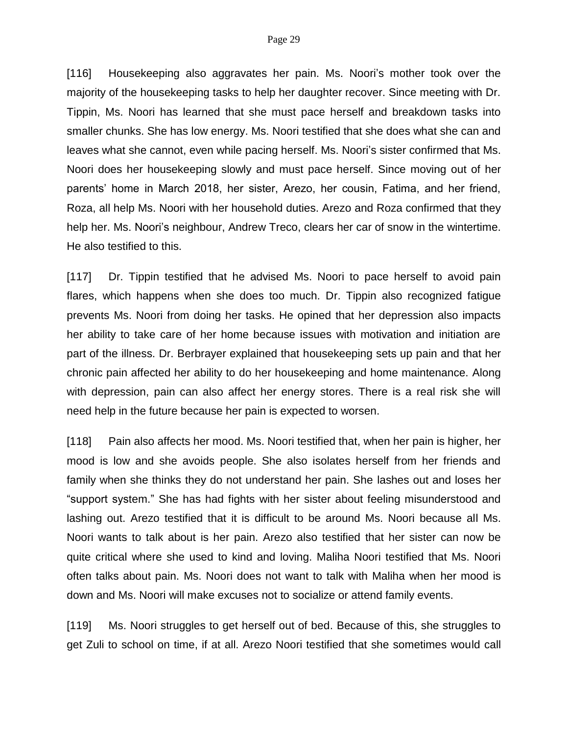[116] Housekeeping also aggravates her pain. Ms. Noori's mother took over the majority of the housekeeping tasks to help her daughter recover. Since meeting with Dr. Tippin, Ms. Noori has learned that she must pace herself and breakdown tasks into smaller chunks. She has low energy. Ms. Noori testified that she does what she can and leaves what she cannot, even while pacing herself. Ms. Noori's sister confirmed that Ms. Noori does her housekeeping slowly and must pace herself. Since moving out of her parents' home in March 2018, her sister, Arezo, her cousin, Fatima, and her friend, Roza, all help Ms. Noori with her household duties. Arezo and Roza confirmed that they help her. Ms. Noori's neighbour, Andrew Treco, clears her car of snow in the wintertime. He also testified to this.

[117] Dr. Tippin testified that he advised Ms. Noori to pace herself to avoid pain flares, which happens when she does too much. Dr. Tippin also recognized fatigue prevents Ms. Noori from doing her tasks. He opined that her depression also impacts her ability to take care of her home because issues with motivation and initiation are part of the illness. Dr. Berbrayer explained that housekeeping sets up pain and that her chronic pain affected her ability to do her housekeeping and home maintenance. Along with depression, pain can also affect her energy stores. There is a real risk she will need help in the future because her pain is expected to worsen.

[118] Pain also affects her mood. Ms. Noori testified that, when her pain is higher, her mood is low and she avoids people. She also isolates herself from her friends and family when she thinks they do not understand her pain. She lashes out and loses her "support system." She has had fights with her sister about feeling misunderstood and lashing out. Arezo testified that it is difficult to be around Ms. Noori because all Ms. Noori wants to talk about is her pain. Arezo also testified that her sister can now be quite critical where she used to kind and loving. Maliha Noori testified that Ms. Noori often talks about pain. Ms. Noori does not want to talk with Maliha when her mood is down and Ms. Noori will make excuses not to socialize or attend family events.

[119] Ms. Noori struggles to get herself out of bed. Because of this, she struggles to get Zuli to school on time, if at all. Arezo Noori testified that she sometimes would call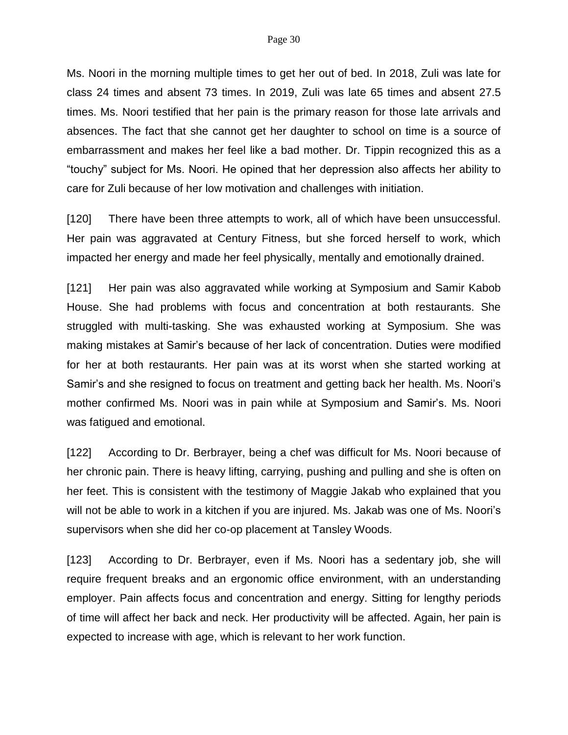Ms. Noori in the morning multiple times to get her out of bed. In 2018, Zuli was late for class 24 times and absent 73 times. In 2019, Zuli was late 65 times and absent 27.5 times. Ms. Noori testified that her pain is the primary reason for those late arrivals and absences. The fact that she cannot get her daughter to school on time is a source of embarrassment and makes her feel like a bad mother. Dr. Tippin recognized this as a "touchy" subject for Ms. Noori. He opined that her depression also affects her ability to care for Zuli because of her low motivation and challenges with initiation.

[120] There have been three attempts to work, all of which have been unsuccessful. Her pain was aggravated at Century Fitness, but she forced herself to work, which impacted her energy and made her feel physically, mentally and emotionally drained.

[121] Her pain was also aggravated while working at Symposium and Samir Kabob House. She had problems with focus and concentration at both restaurants. She struggled with multi-tasking. She was exhausted working at Symposium. She was making mistakes at Samir's because of her lack of concentration. Duties were modified for her at both restaurants. Her pain was at its worst when she started working at Samir's and she resigned to focus on treatment and getting back her health. Ms. Noori's mother confirmed Ms. Noori was in pain while at Symposium and Samir's. Ms. Noori was fatigued and emotional.

[122] According to Dr. Berbrayer, being a chef was difficult for Ms. Noori because of her chronic pain. There is heavy lifting, carrying, pushing and pulling and she is often on her feet. This is consistent with the testimony of Maggie Jakab who explained that you will not be able to work in a kitchen if you are injured. Ms. Jakab was one of Ms. Noori's supervisors when she did her co-op placement at Tansley Woods.

[123] According to Dr. Berbrayer, even if Ms. Noori has a sedentary job, she will require frequent breaks and an ergonomic office environment, with an understanding employer. Pain affects focus and concentration and energy. Sitting for lengthy periods of time will affect her back and neck. Her productivity will be affected. Again, her pain is expected to increase with age, which is relevant to her work function.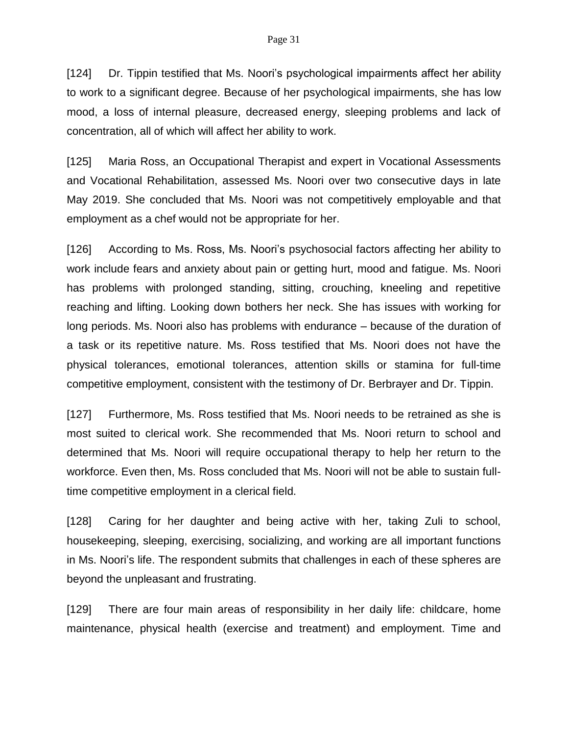[124] Dr. Tippin testified that Ms. Noori's psychological impairments affect her ability to work to a significant degree. Because of her psychological impairments, she has low mood, a loss of internal pleasure, decreased energy, sleeping problems and lack of concentration, all of which will affect her ability to work.

[125] Maria Ross, an Occupational Therapist and expert in Vocational Assessments and Vocational Rehabilitation, assessed Ms. Noori over two consecutive days in late May 2019. She concluded that Ms. Noori was not competitively employable and that employment as a chef would not be appropriate for her.

[126] According to Ms. Ross, Ms. Noori's psychosocial factors affecting her ability to work include fears and anxiety about pain or getting hurt, mood and fatigue. Ms. Noori has problems with prolonged standing, sitting, crouching, kneeling and repetitive reaching and lifting. Looking down bothers her neck. She has issues with working for long periods. Ms. Noori also has problems with endurance – because of the duration of a task or its repetitive nature. Ms. Ross testified that Ms. Noori does not have the physical tolerances, emotional tolerances, attention skills or stamina for full-time competitive employment, consistent with the testimony of Dr. Berbrayer and Dr. Tippin.

[127] Furthermore, Ms. Ross testified that Ms. Noori needs to be retrained as she is most suited to clerical work. She recommended that Ms. Noori return to school and determined that Ms. Noori will require occupational therapy to help her return to the workforce. Even then, Ms. Ross concluded that Ms. Noori will not be able to sustain fulltime competitive employment in a clerical field.

[128] Caring for her daughter and being active with her, taking Zuli to school, housekeeping, sleeping, exercising, socializing, and working are all important functions in Ms. Noori's life. The respondent submits that challenges in each of these spheres are beyond the unpleasant and frustrating.

[129] There are four main areas of responsibility in her daily life: childcare, home maintenance, physical health (exercise and treatment) and employment. Time and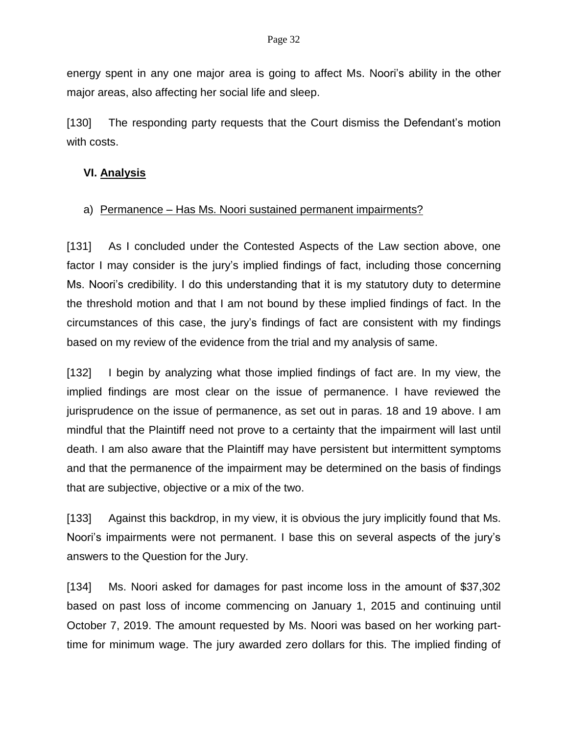energy spent in any one major area is going to affect Ms. Noori's ability in the other major areas, also affecting her social life and sleep.

[130] The responding party requests that the Court dismiss the Defendant's motion with costs.

## **VI. Analysis**

## a) Permanence – Has Ms. Noori sustained permanent impairments?

[131] As I concluded under the Contested Aspects of the Law section above, one factor I may consider is the jury's implied findings of fact, including those concerning Ms. Noori's credibility. I do this understanding that it is my statutory duty to determine the threshold motion and that I am not bound by these implied findings of fact. In the circumstances of this case, the jury's findings of fact are consistent with my findings based on my review of the evidence from the trial and my analysis of same.

[132] I begin by analyzing what those implied findings of fact are. In my view, the implied findings are most clear on the issue of permanence. I have reviewed the jurisprudence on the issue of permanence, as set out in paras. 18 and 19 above. I am mindful that the Plaintiff need not prove to a certainty that the impairment will last until death. I am also aware that the Plaintiff may have persistent but intermittent symptoms and that the permanence of the impairment may be determined on the basis of findings that are subjective, objective or a mix of the two.

[133] Against this backdrop, in my view, it is obvious the jury implicitly found that Ms. Noori's impairments were not permanent. I base this on several aspects of the jury's answers to the Question for the Jury.

[134] Ms. Noori asked for damages for past income loss in the amount of \$37,302 based on past loss of income commencing on January 1, 2015 and continuing until October 7, 2019. The amount requested by Ms. Noori was based on her working parttime for minimum wage. The jury awarded zero dollars for this. The implied finding of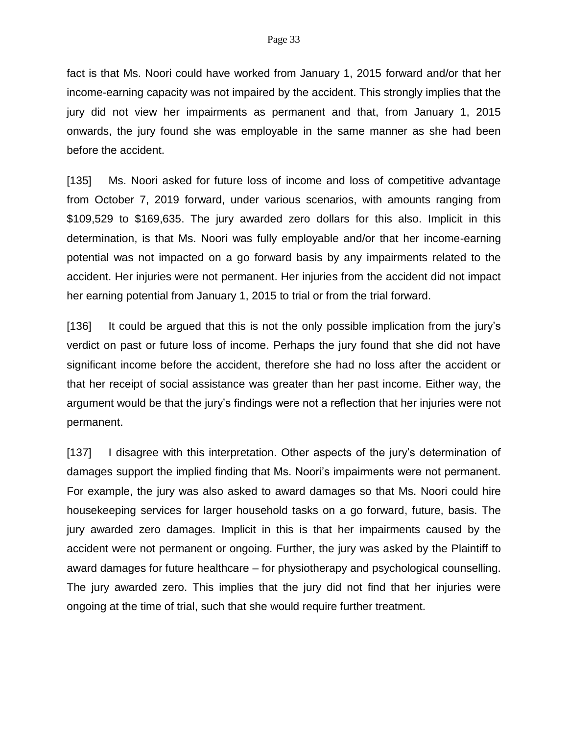fact is that Ms. Noori could have worked from January 1, 2015 forward and/or that her income-earning capacity was not impaired by the accident. This strongly implies that the jury did not view her impairments as permanent and that, from January 1, 2015 onwards, the jury found she was employable in the same manner as she had been before the accident.

[135] Ms. Noori asked for future loss of income and loss of competitive advantage from October 7, 2019 forward, under various scenarios, with amounts ranging from \$109,529 to \$169,635. The jury awarded zero dollars for this also. Implicit in this determination, is that Ms. Noori was fully employable and/or that her income-earning potential was not impacted on a go forward basis by any impairments related to the accident. Her injuries were not permanent. Her injuries from the accident did not impact her earning potential from January 1, 2015 to trial or from the trial forward.

[136] It could be argued that this is not the only possible implication from the jury's verdict on past or future loss of income. Perhaps the jury found that she did not have significant income before the accident, therefore she had no loss after the accident or that her receipt of social assistance was greater than her past income. Either way, the argument would be that the jury's findings were not a reflection that her injuries were not permanent.

[137] I disagree with this interpretation. Other aspects of the jury's determination of damages support the implied finding that Ms. Noori's impairments were not permanent. For example, the jury was also asked to award damages so that Ms. Noori could hire housekeeping services for larger household tasks on a go forward, future, basis. The jury awarded zero damages. Implicit in this is that her impairments caused by the accident were not permanent or ongoing. Further, the jury was asked by the Plaintiff to award damages for future healthcare – for physiotherapy and psychological counselling. The jury awarded zero. This implies that the jury did not find that her injuries were ongoing at the time of trial, such that she would require further treatment.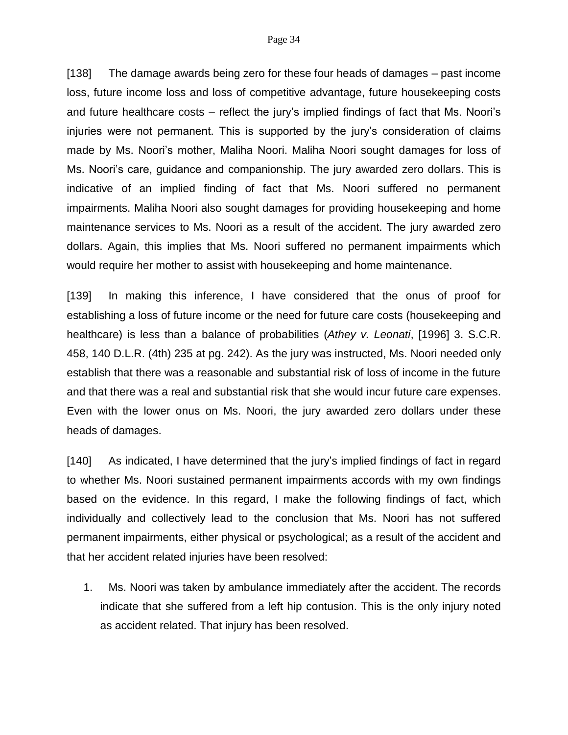[138] The damage awards being zero for these four heads of damages – past income loss, future income loss and loss of competitive advantage, future housekeeping costs and future healthcare costs – reflect the jury's implied findings of fact that Ms. Noori's injuries were not permanent. This is supported by the jury's consideration of claims made by Ms. Noori's mother, Maliha Noori. Maliha Noori sought damages for loss of Ms. Noori's care, guidance and companionship. The jury awarded zero dollars. This is indicative of an implied finding of fact that Ms. Noori suffered no permanent impairments. Maliha Noori also sought damages for providing housekeeping and home maintenance services to Ms. Noori as a result of the accident. The jury awarded zero dollars. Again, this implies that Ms. Noori suffered no permanent impairments which would require her mother to assist with housekeeping and home maintenance.

[139] In making this inference, I have considered that the onus of proof for establishing a loss of future income or the need for future care costs (housekeeping and healthcare) is less than a balance of probabilities (*Athey v. Leonati*, [1996] 3. S.C.R. 458, 140 D.L.R. (4th) 235 at pg. 242). As the jury was instructed, Ms. Noori needed only establish that there was a reasonable and substantial risk of loss of income in the future and that there was a real and substantial risk that she would incur future care expenses. Even with the lower onus on Ms. Noori, the jury awarded zero dollars under these heads of damages.

[140] As indicated, I have determined that the jury's implied findings of fact in regard to whether Ms. Noori sustained permanent impairments accords with my own findings based on the evidence. In this regard, I make the following findings of fact, which individually and collectively lead to the conclusion that Ms. Noori has not suffered permanent impairments, either physical or psychological; as a result of the accident and that her accident related injuries have been resolved:

1. Ms. Noori was taken by ambulance immediately after the accident. The records indicate that she suffered from a left hip contusion. This is the only injury noted as accident related. That injury has been resolved.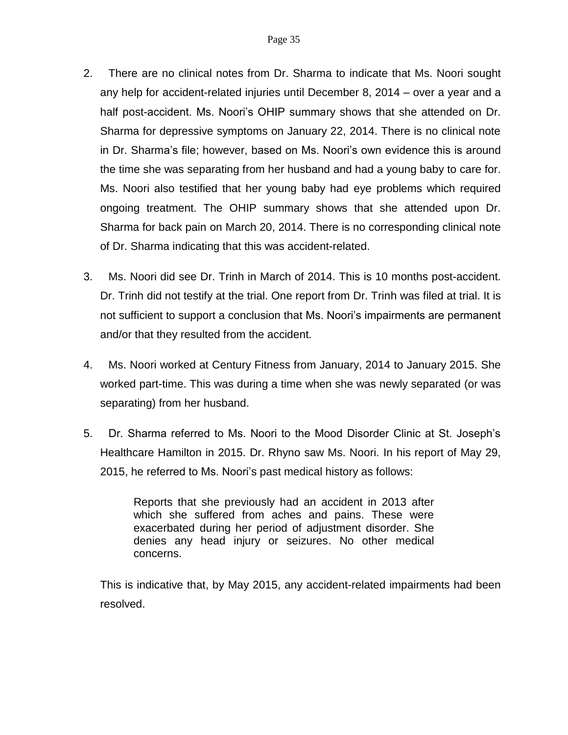- 2. There are no clinical notes from Dr. Sharma to indicate that Ms. Noori sought any help for accident-related injuries until December 8, 2014 – over a year and a half post-accident. Ms. Noori's OHIP summary shows that she attended on Dr. Sharma for depressive symptoms on January 22, 2014. There is no clinical note in Dr. Sharma's file; however, based on Ms. Noori's own evidence this is around the time she was separating from her husband and had a young baby to care for. Ms. Noori also testified that her young baby had eye problems which required ongoing treatment. The OHIP summary shows that she attended upon Dr. Sharma for back pain on March 20, 2014. There is no corresponding clinical note of Dr. Sharma indicating that this was accident-related.
- 3. Ms. Noori did see Dr. Trinh in March of 2014. This is 10 months post-accident. Dr. Trinh did not testify at the trial. One report from Dr. Trinh was filed at trial. It is not sufficient to support a conclusion that Ms. Noori's impairments are permanent and/or that they resulted from the accident.
- 4. Ms. Noori worked at Century Fitness from January, 2014 to January 2015. She worked part-time. This was during a time when she was newly separated (or was separating) from her husband.
- 5. Dr. Sharma referred to Ms. Noori to the Mood Disorder Clinic at St. Joseph's Healthcare Hamilton in 2015. Dr. Rhyno saw Ms. Noori. In his report of May 29, 2015, he referred to Ms. Noori's past medical history as follows:

Reports that she previously had an accident in 2013 after which she suffered from aches and pains. These were exacerbated during her period of adjustment disorder. She denies any head injury or seizures. No other medical concerns.

This is indicative that, by May 2015, any accident-related impairments had been resolved.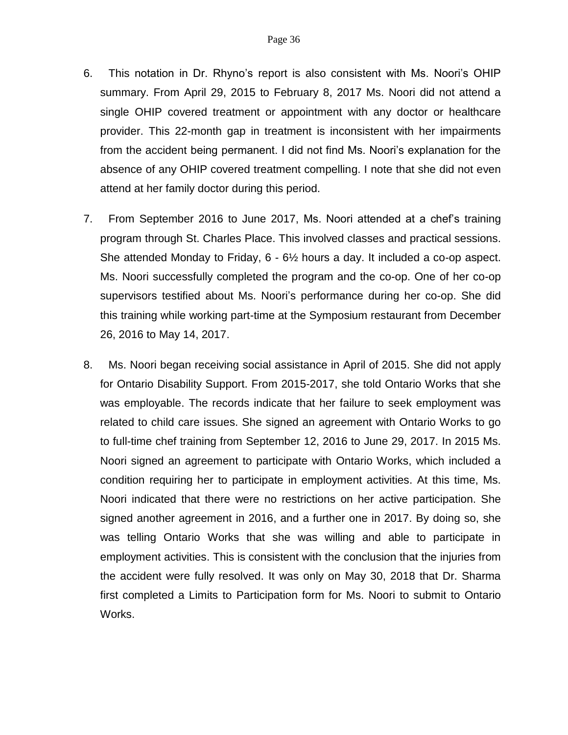- 6. This notation in Dr. Rhyno's report is also consistent with Ms. Noori's OHIP summary. From April 29, 2015 to February 8, 2017 Ms. Noori did not attend a single OHIP covered treatment or appointment with any doctor or healthcare provider. This 22-month gap in treatment is inconsistent with her impairments from the accident being permanent. I did not find Ms. Noori's explanation for the absence of any OHIP covered treatment compelling. I note that she did not even attend at her family doctor during this period.
- 7. From September 2016 to June 2017, Ms. Noori attended at a chef's training program through St. Charles Place. This involved classes and practical sessions. She attended Monday to Friday, 6 - 6½ hours a day. It included a co-op aspect. Ms. Noori successfully completed the program and the co-op. One of her co-op supervisors testified about Ms. Noori's performance during her co-op. She did this training while working part-time at the Symposium restaurant from December 26, 2016 to May 14, 2017.
- 8. Ms. Noori began receiving social assistance in April of 2015. She did not apply for Ontario Disability Support. From 2015-2017, she told Ontario Works that she was employable. The records indicate that her failure to seek employment was related to child care issues. She signed an agreement with Ontario Works to go to full-time chef training from September 12, 2016 to June 29, 2017. In 2015 Ms. Noori signed an agreement to participate with Ontario Works, which included a condition requiring her to participate in employment activities. At this time, Ms. Noori indicated that there were no restrictions on her active participation. She signed another agreement in 2016, and a further one in 2017. By doing so, she was telling Ontario Works that she was willing and able to participate in employment activities. This is consistent with the conclusion that the injuries from the accident were fully resolved. It was only on May 30, 2018 that Dr. Sharma first completed a Limits to Participation form for Ms. Noori to submit to Ontario Works.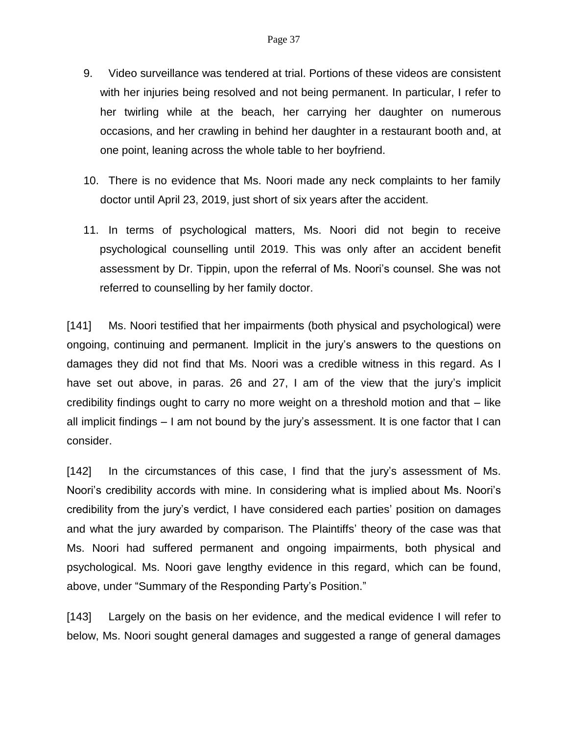- 9. Video surveillance was tendered at trial. Portions of these videos are consistent with her injuries being resolved and not being permanent. In particular, I refer to her twirling while at the beach, her carrying her daughter on numerous occasions, and her crawling in behind her daughter in a restaurant booth and, at one point, leaning across the whole table to her boyfriend.
- 10. There is no evidence that Ms. Noori made any neck complaints to her family doctor until April 23, 2019, just short of six years after the accident.
- 11. In terms of psychological matters, Ms. Noori did not begin to receive psychological counselling until 2019. This was only after an accident benefit assessment by Dr. Tippin, upon the referral of Ms. Noori's counsel. She was not referred to counselling by her family doctor.

[141] Ms. Noori testified that her impairments (both physical and psychological) were ongoing, continuing and permanent. Implicit in the jury's answers to the questions on damages they did not find that Ms. Noori was a credible witness in this regard. As I have set out above, in paras. 26 and 27, I am of the view that the jury's implicit credibility findings ought to carry no more weight on a threshold motion and that – like all implicit findings – I am not bound by the jury's assessment. It is one factor that I can consider.

[142] In the circumstances of this case, I find that the jury's assessment of Ms. Noori's credibility accords with mine. In considering what is implied about Ms. Noori's credibility from the jury's verdict, I have considered each parties' position on damages and what the jury awarded by comparison. The Plaintiffs' theory of the case was that Ms. Noori had suffered permanent and ongoing impairments, both physical and psychological. Ms. Noori gave lengthy evidence in this regard, which can be found, above, under "Summary of the Responding Party's Position."

[143] Largely on the basis on her evidence, and the medical evidence I will refer to below, Ms. Noori sought general damages and suggested a range of general damages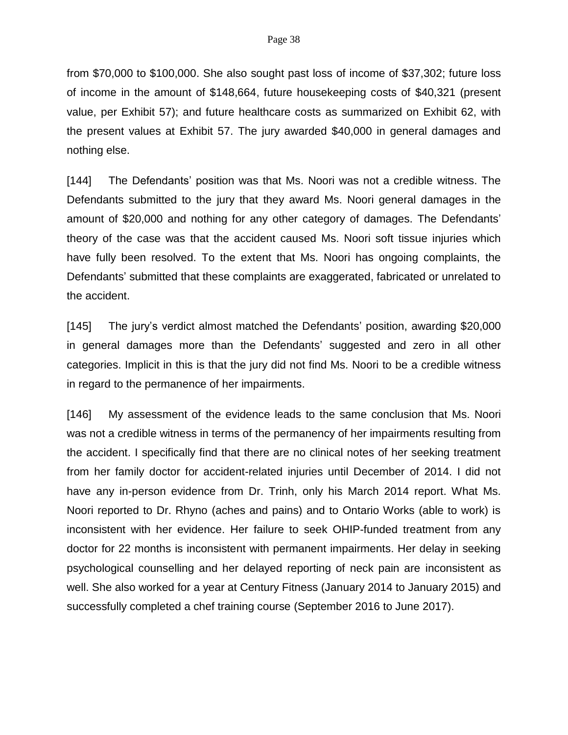from \$70,000 to \$100,000. She also sought past loss of income of \$37,302; future loss of income in the amount of \$148,664, future housekeeping costs of \$40,321 (present value, per Exhibit 57); and future healthcare costs as summarized on Exhibit 62, with the present values at Exhibit 57. The jury awarded \$40,000 in general damages and nothing else.

[144] The Defendants' position was that Ms. Noori was not a credible witness. The Defendants submitted to the jury that they award Ms. Noori general damages in the amount of \$20,000 and nothing for any other category of damages. The Defendants' theory of the case was that the accident caused Ms. Noori soft tissue injuries which have fully been resolved. To the extent that Ms. Noori has ongoing complaints, the Defendants' submitted that these complaints are exaggerated, fabricated or unrelated to the accident.

[145] The jury's verdict almost matched the Defendants' position, awarding \$20,000 in general damages more than the Defendants' suggested and zero in all other categories. Implicit in this is that the jury did not find Ms. Noori to be a credible witness in regard to the permanence of her impairments.

[146] My assessment of the evidence leads to the same conclusion that Ms. Noori was not a credible witness in terms of the permanency of her impairments resulting from the accident. I specifically find that there are no clinical notes of her seeking treatment from her family doctor for accident-related injuries until December of 2014. I did not have any in-person evidence from Dr. Trinh, only his March 2014 report. What Ms. Noori reported to Dr. Rhyno (aches and pains) and to Ontario Works (able to work) is inconsistent with her evidence. Her failure to seek OHIP-funded treatment from any doctor for 22 months is inconsistent with permanent impairments. Her delay in seeking psychological counselling and her delayed reporting of neck pain are inconsistent as well. She also worked for a year at Century Fitness (January 2014 to January 2015) and successfully completed a chef training course (September 2016 to June 2017).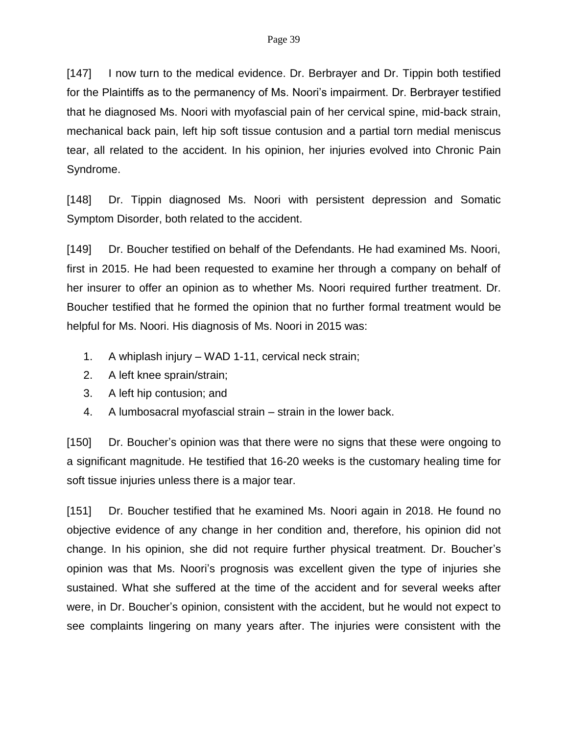[147] I now turn to the medical evidence. Dr. Berbrayer and Dr. Tippin both testified for the Plaintiffs as to the permanency of Ms. Noori's impairment. Dr. Berbrayer testified that he diagnosed Ms. Noori with myofascial pain of her cervical spine, mid-back strain, mechanical back pain, left hip soft tissue contusion and a partial torn medial meniscus tear, all related to the accident. In his opinion, her injuries evolved into Chronic Pain Syndrome.

[148] Dr. Tippin diagnosed Ms. Noori with persistent depression and Somatic Symptom Disorder, both related to the accident.

[149] Dr. Boucher testified on behalf of the Defendants. He had examined Ms. Noori, first in 2015. He had been requested to examine her through a company on behalf of her insurer to offer an opinion as to whether Ms. Noori required further treatment. Dr. Boucher testified that he formed the opinion that no further formal treatment would be helpful for Ms. Noori. His diagnosis of Ms. Noori in 2015 was:

- 1. A whiplash injury WAD 1-11, cervical neck strain;
- 2. A left knee sprain/strain;
- 3. A left hip contusion; and
- 4. A lumbosacral myofascial strain strain in the lower back.

[150] Dr. Boucher's opinion was that there were no signs that these were ongoing to a significant magnitude. He testified that 16-20 weeks is the customary healing time for soft tissue injuries unless there is a major tear.

[151] Dr. Boucher testified that he examined Ms. Noori again in 2018. He found no objective evidence of any change in her condition and, therefore, his opinion did not change. In his opinion, she did not require further physical treatment. Dr. Boucher's opinion was that Ms. Noori's prognosis was excellent given the type of injuries she sustained. What she suffered at the time of the accident and for several weeks after were, in Dr. Boucher's opinion, consistent with the accident, but he would not expect to see complaints lingering on many years after. The injuries were consistent with the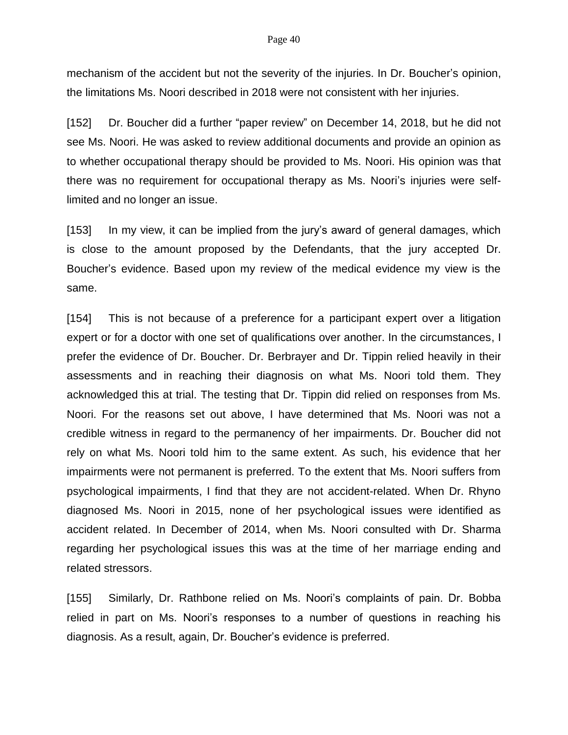#### Page 40

mechanism of the accident but not the severity of the injuries. In Dr. Boucher's opinion, the limitations Ms. Noori described in 2018 were not consistent with her injuries.

[152] Dr. Boucher did a further "paper review" on December 14, 2018, but he did not see Ms. Noori. He was asked to review additional documents and provide an opinion as to whether occupational therapy should be provided to Ms. Noori. His opinion was that there was no requirement for occupational therapy as Ms. Noori's injuries were selflimited and no longer an issue.

[153] In my view, it can be implied from the jury's award of general damages, which is close to the amount proposed by the Defendants, that the jury accepted Dr. Boucher's evidence. Based upon my review of the medical evidence my view is the same.

[154] This is not because of a preference for a participant expert over a litigation expert or for a doctor with one set of qualifications over another. In the circumstances, I prefer the evidence of Dr. Boucher. Dr. Berbrayer and Dr. Tippin relied heavily in their assessments and in reaching their diagnosis on what Ms. Noori told them. They acknowledged this at trial. The testing that Dr. Tippin did relied on responses from Ms. Noori. For the reasons set out above, I have determined that Ms. Noori was not a credible witness in regard to the permanency of her impairments. Dr. Boucher did not rely on what Ms. Noori told him to the same extent. As such, his evidence that her impairments were not permanent is preferred. To the extent that Ms. Noori suffers from psychological impairments, I find that they are not accident-related. When Dr. Rhyno diagnosed Ms. Noori in 2015, none of her psychological issues were identified as accident related. In December of 2014, when Ms. Noori consulted with Dr. Sharma regarding her psychological issues this was at the time of her marriage ending and related stressors.

[155] Similarly, Dr. Rathbone relied on Ms. Noori's complaints of pain. Dr. Bobba relied in part on Ms. Noori's responses to a number of questions in reaching his diagnosis. As a result, again, Dr. Boucher's evidence is preferred.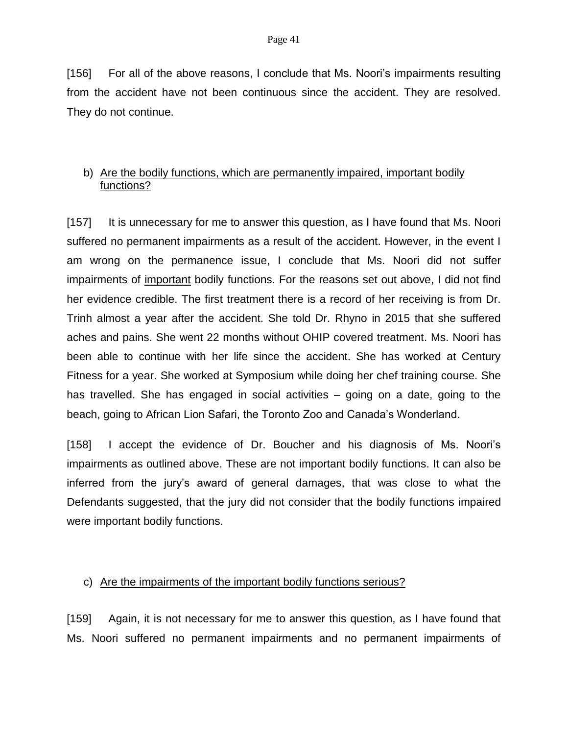[156] For all of the above reasons, I conclude that Ms. Noori's impairments resulting from the accident have not been continuous since the accident. They are resolved. They do not continue.

# b) Are the bodily functions, which are permanently impaired, important bodily functions?

[157] It is unnecessary for me to answer this question, as I have found that Ms. Noori suffered no permanent impairments as a result of the accident. However, in the event I am wrong on the permanence issue, I conclude that Ms. Noori did not suffer impairments of important bodily functions. For the reasons set out above, I did not find her evidence credible. The first treatment there is a record of her receiving is from Dr. Trinh almost a year after the accident. She told Dr. Rhyno in 2015 that she suffered aches and pains. She went 22 months without OHIP covered treatment. Ms. Noori has been able to continue with her life since the accident. She has worked at Century Fitness for a year. She worked at Symposium while doing her chef training course. She has travelled. She has engaged in social activities – going on a date, going to the beach, going to African Lion Safari, the Toronto Zoo and Canada's Wonderland.

[158] I accept the evidence of Dr. Boucher and his diagnosis of Ms. Noori's impairments as outlined above. These are not important bodily functions. It can also be inferred from the jury's award of general damages, that was close to what the Defendants suggested, that the jury did not consider that the bodily functions impaired were important bodily functions.

## c) Are the impairments of the important bodily functions serious?

[159] Again, it is not necessary for me to answer this question, as I have found that Ms. Noori suffered no permanent impairments and no permanent impairments of